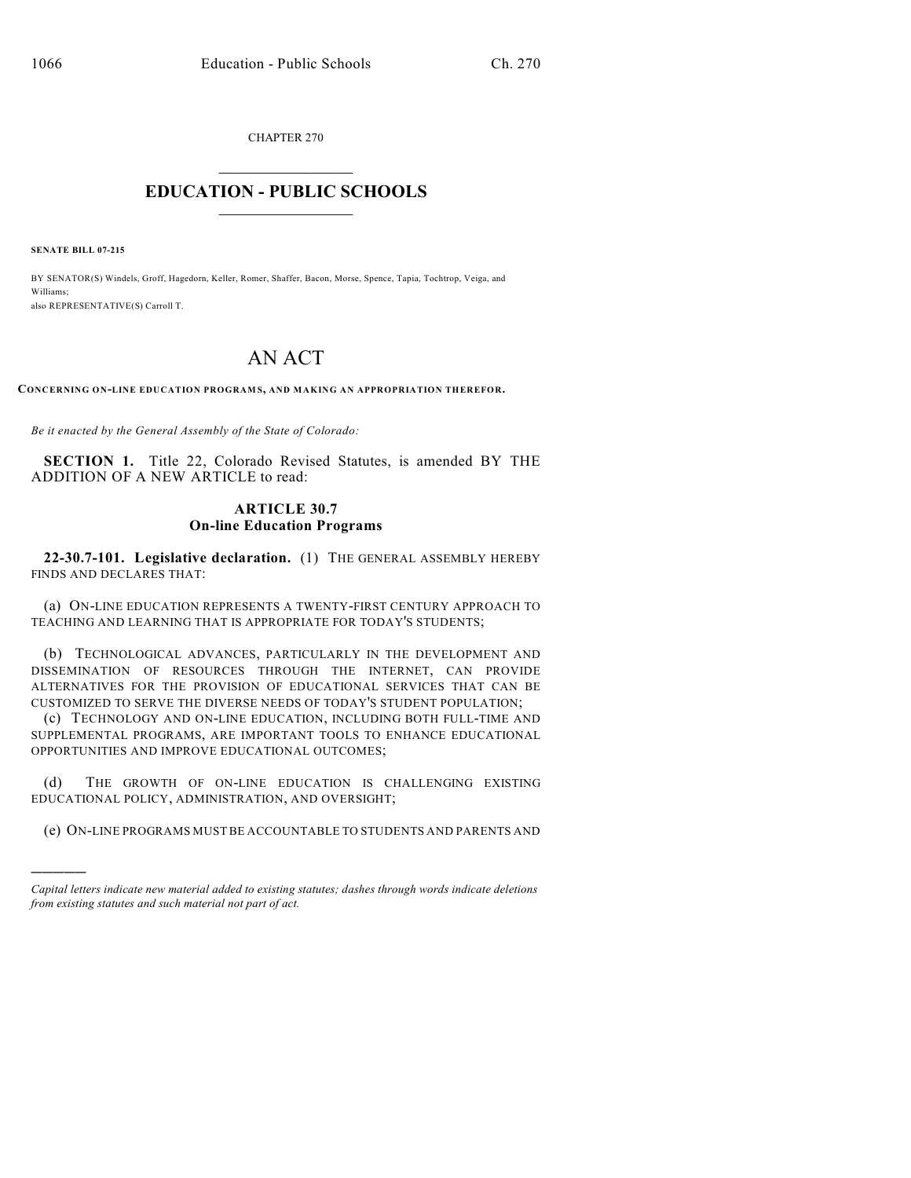CHAPTER 270  $\mathcal{L}_\text{max}$  . The set of the set of the set of the set of the set of the set of the set of the set of the set of the set of the set of the set of the set of the set of the set of the set of the set of the set of the set

## **EDUCATION - PUBLIC SCHOOLS**  $\_$   $\_$   $\_$   $\_$   $\_$   $\_$   $\_$   $\_$   $\_$

**SENATE BILL 07-215**

)))))

BY SENATOR(S) Windels, Groff, Hagedorn, Keller, Romer, Shaffer, Bacon, Morse, Spence, Tapia, Tochtrop, Veiga, and Williams; also REPRESENTATIVE(S) Carroll T.

## AN ACT

**CONCERNING ON-LINE EDUCATION PROGRAM S, AND MAKING AN APPROPRIATION THEREFOR.**

*Be it enacted by the General Assembly of the State of Colorado:*

**SECTION 1.** Title 22, Colorado Revised Statutes, is amended BY THE ADDITION OF A NEW ARTICLE to read:

## **ARTICLE 30.7 On-line Education Programs**

**22-30.7-101. Legislative declaration.** (1) THE GENERAL ASSEMBLY HEREBY FINDS AND DECLARES THAT:

(a) ON-LINE EDUCATION REPRESENTS A TWENTY-FIRST CENTURY APPROACH TO TEACHING AND LEARNING THAT IS APPROPRIATE FOR TODAY'S STUDENTS;

(b) TECHNOLOGICAL ADVANCES, PARTICULARLY IN THE DEVELOPMENT AND DISSEMINATION OF RESOURCES THROUGH THE INTERNET, CAN PROVIDE ALTERNATIVES FOR THE PROVISION OF EDUCATIONAL SERVICES THAT CAN BE CUSTOMIZED TO SERVE THE DIVERSE NEEDS OF TODAY'S STUDENT POPULATION;

(c) TECHNOLOGY AND ON-LINE EDUCATION, INCLUDING BOTH FULL-TIME AND SUPPLEMENTAL PROGRAMS, ARE IMPORTANT TOOLS TO ENHANCE EDUCATIONAL OPPORTUNITIES AND IMPROVE EDUCATIONAL OUTCOMES;

(d) THE GROWTH OF ON-LINE EDUCATION IS CHALLENGING EXISTING EDUCATIONAL POLICY, ADMINISTRATION, AND OVERSIGHT;

(e) ON-LINE PROGRAMS MUST BE ACCOUNTABLE TO STUDENTS AND PARENTS AND

*Capital letters indicate new material added to existing statutes; dashes through words indicate deletions from existing statutes and such material not part of act.*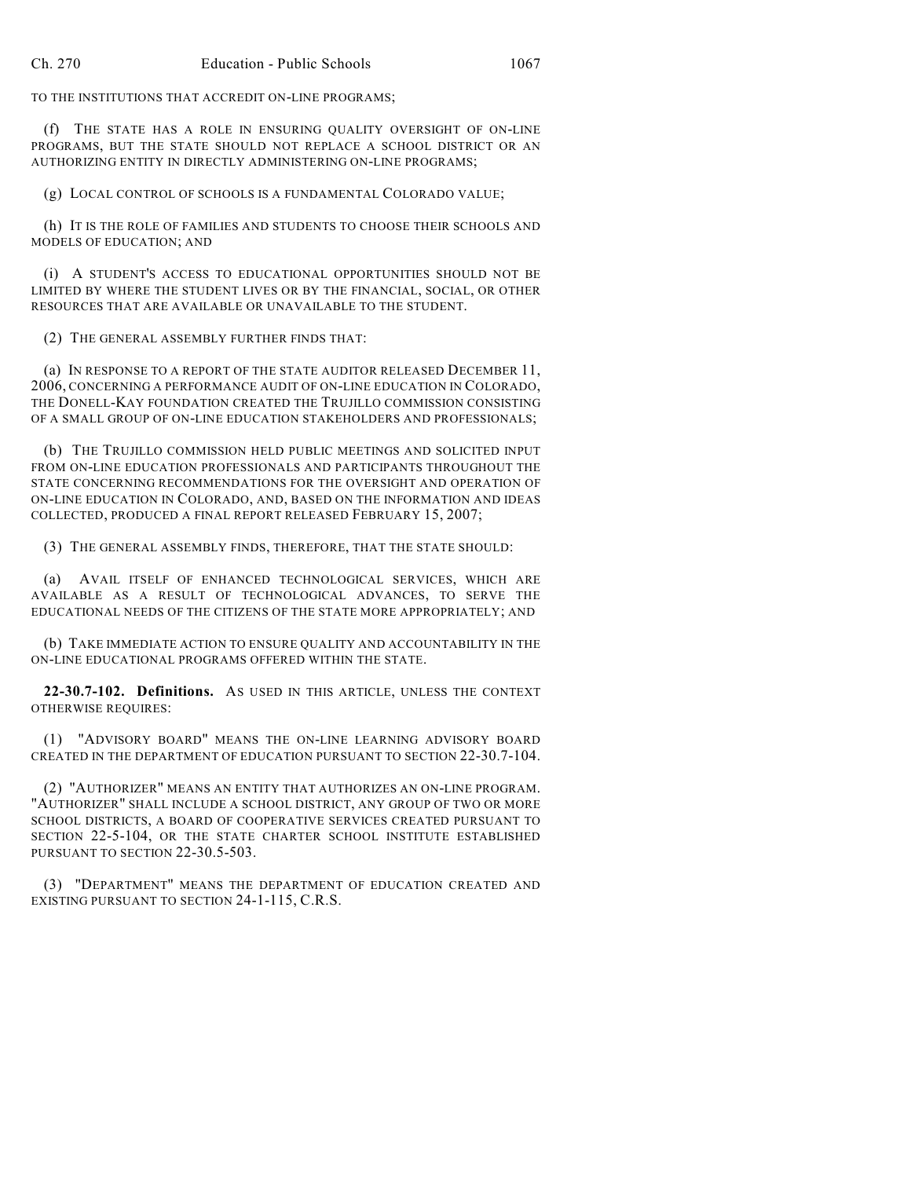TO THE INSTITUTIONS THAT ACCREDIT ON-LINE PROGRAMS;

(f) THE STATE HAS A ROLE IN ENSURING QUALITY OVERSIGHT OF ON-LINE PROGRAMS, BUT THE STATE SHOULD NOT REPLACE A SCHOOL DISTRICT OR AN AUTHORIZING ENTITY IN DIRECTLY ADMINISTERING ON-LINE PROGRAMS;

(g) LOCAL CONTROL OF SCHOOLS IS A FUNDAMENTAL COLORADO VALUE;

(h) IT IS THE ROLE OF FAMILIES AND STUDENTS TO CHOOSE THEIR SCHOOLS AND MODELS OF EDUCATION; AND

(i) A STUDENT'S ACCESS TO EDUCATIONAL OPPORTUNITIES SHOULD NOT BE LIMITED BY WHERE THE STUDENT LIVES OR BY THE FINANCIAL, SOCIAL, OR OTHER RESOURCES THAT ARE AVAILABLE OR UNAVAILABLE TO THE STUDENT.

(2) THE GENERAL ASSEMBLY FURTHER FINDS THAT:

(a) IN RESPONSE TO A REPORT OF THE STATE AUDITOR RELEASED DECEMBER 11, 2006, CONCERNING A PERFORMANCE AUDIT OF ON-LINE EDUCATION IN COLORADO, THE DONELL-KAY FOUNDATION CREATED THE TRUJILLO COMMISSION CONSISTING OF A SMALL GROUP OF ON-LINE EDUCATION STAKEHOLDERS AND PROFESSIONALS;

(b) THE TRUJILLO COMMISSION HELD PUBLIC MEETINGS AND SOLICITED INPUT FROM ON-LINE EDUCATION PROFESSIONALS AND PARTICIPANTS THROUGHOUT THE STATE CONCERNING RECOMMENDATIONS FOR THE OVERSIGHT AND OPERATION OF ON-LINE EDUCATION IN COLORADO, AND, BASED ON THE INFORMATION AND IDEAS COLLECTED, PRODUCED A FINAL REPORT RELEASED FEBRUARY 15, 2007;

(3) THE GENERAL ASSEMBLY FINDS, THEREFORE, THAT THE STATE SHOULD:

(a) AVAIL ITSELF OF ENHANCED TECHNOLOGICAL SERVICES, WHICH ARE AVAILABLE AS A RESULT OF TECHNOLOGICAL ADVANCES, TO SERVE THE EDUCATIONAL NEEDS OF THE CITIZENS OF THE STATE MORE APPROPRIATELY; AND

(b) TAKE IMMEDIATE ACTION TO ENSURE QUALITY AND ACCOUNTABILITY IN THE ON-LINE EDUCATIONAL PROGRAMS OFFERED WITHIN THE STATE.

**22-30.7-102. Definitions.** AS USED IN THIS ARTICLE, UNLESS THE CONTEXT OTHERWISE REQUIRES:

(1) "ADVISORY BOARD" MEANS THE ON-LINE LEARNING ADVISORY BOARD CREATED IN THE DEPARTMENT OF EDUCATION PURSUANT TO SECTION 22-30.7-104.

(2) "AUTHORIZER" MEANS AN ENTITY THAT AUTHORIZES AN ON-LINE PROGRAM. "AUTHORIZER" SHALL INCLUDE A SCHOOL DISTRICT, ANY GROUP OF TWO OR MORE SCHOOL DISTRICTS, A BOARD OF COOPERATIVE SERVICES CREATED PURSUANT TO SECTION 22-5-104, OR THE STATE CHARTER SCHOOL INSTITUTE ESTABLISHED PURSUANT TO SECTION 22-30.5-503.

(3) "DEPARTMENT" MEANS THE DEPARTMENT OF EDUCATION CREATED AND EXISTING PURSUANT TO SECTION 24-1-115, C.R.S.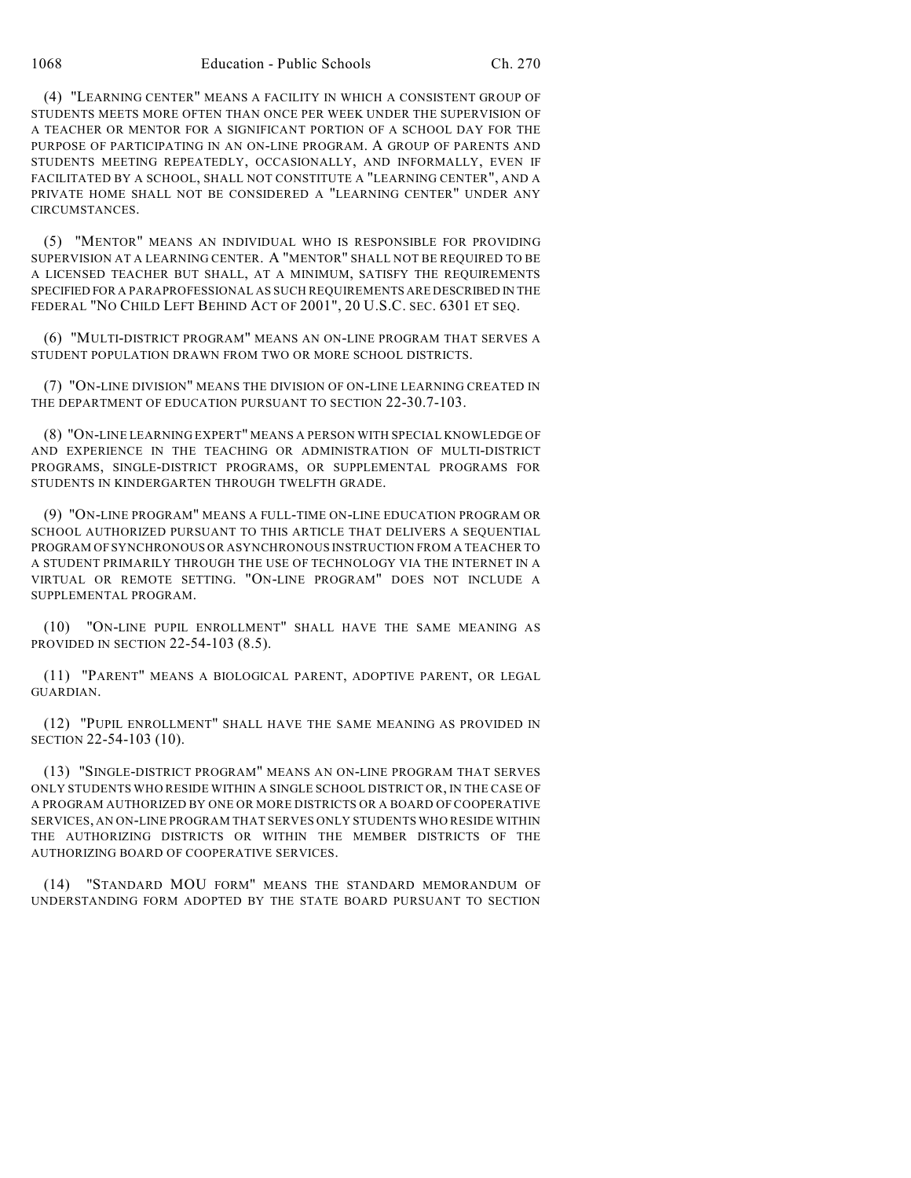(4) "LEARNING CENTER" MEANS A FACILITY IN WHICH A CONSISTENT GROUP OF STUDENTS MEETS MORE OFTEN THAN ONCE PER WEEK UNDER THE SUPERVISION OF A TEACHER OR MENTOR FOR A SIGNIFICANT PORTION OF A SCHOOL DAY FOR THE PURPOSE OF PARTICIPATING IN AN ON-LINE PROGRAM. A GROUP OF PARENTS AND STUDENTS MEETING REPEATEDLY, OCCASIONALLY, AND INFORMALLY, EVEN IF FACILITATED BY A SCHOOL, SHALL NOT CONSTITUTE A "LEARNING CENTER", AND A PRIVATE HOME SHALL NOT BE CONSIDERED A "LEARNING CENTER" UNDER ANY **CIRCUMSTANCES** 

(5) "MENTOR" MEANS AN INDIVIDUAL WHO IS RESPONSIBLE FOR PROVIDING SUPERVISION AT A LEARNING CENTER. A "MENTOR" SHALL NOT BE REQUIRED TO BE A LICENSED TEACHER BUT SHALL, AT A MINIMUM, SATISFY THE REQUIREMENTS SPECIFIED FOR A PARAPROFESSIONAL AS SUCH REQUIREMENTS ARE DESCRIBED IN THE FEDERAL "NO CHILD LEFT BEHIND ACT OF 2001", 20 U.S.C. SEC. 6301 ET SEQ.

(6) "MULTI-DISTRICT PROGRAM" MEANS AN ON-LINE PROGRAM THAT SERVES A STUDENT POPULATION DRAWN FROM TWO OR MORE SCHOOL DISTRICTS.

(7) "ON-LINE DIVISION" MEANS THE DIVISION OF ON-LINE LEARNING CREATED IN THE DEPARTMENT OF EDUCATION PURSUANT TO SECTION 22-30.7-103.

(8) "ON-LINE LEARNING EXPERT" MEANS A PERSON WITH SPECIAL KNOWLEDGE OF AND EXPERIENCE IN THE TEACHING OR ADMINISTRATION OF MULTI-DISTRICT PROGRAMS, SINGLE-DISTRICT PROGRAMS, OR SUPPLEMENTAL PROGRAMS FOR STUDENTS IN KINDERGARTEN THROUGH TWELFTH GRADE.

(9) "ON-LINE PROGRAM" MEANS A FULL-TIME ON-LINE EDUCATION PROGRAM OR SCHOOL AUTHORIZED PURSUANT TO THIS ARTICLE THAT DELIVERS A SEOUENTIAL PROGRAM OF SYNCHRONOUS OR ASYNCHRONOUS INSTRUCTION FROM A TEACHER TO A STUDENT PRIMARILY THROUGH THE USE OF TECHNOLOGY VIA THE INTERNET IN A VIRTUAL OR REMOTE SETTING. "ON-LINE PROGRAM" DOES NOT INCLUDE A SUPPLEMENTAL PROGRAM.

(10) "ON-LINE PUPIL ENROLLMENT" SHALL HAVE THE SAME MEANING AS PROVIDED IN SECTION 22-54-103 (8.5).

(11) "PARENT" MEANS A BIOLOGICAL PARENT, ADOPTIVE PARENT, OR LEGAL GUARDIAN.

(12) "PUPIL ENROLLMENT" SHALL HAVE THE SAME MEANING AS PROVIDED IN SECTION 22-54-103 (10).

(13) "SINGLE-DISTRICT PROGRAM" MEANS AN ON-LINE PROGRAM THAT SERVES ONLY STUDENTS WHO RESIDE WITHIN A SINGLE SCHOOL DISTRICT OR, IN THE CASE OF A PROGRAM AUTHORIZED BY ONE OR MORE DISTRICTS OR A BOARD OF COOPERATIVE SERVICES, AN ON-LINE PROGRAM THAT SERVES ONLY STUDENTS WHO RESIDE WITHIN THE AUTHORIZING DISTRICTS OR WITHIN THE MEMBER DISTRICTS OF THE AUTHORIZING BOARD OF COOPERATIVE SERVICES.

(14) "STANDARD MOU FORM" MEANS THE STANDARD MEMORANDUM OF UNDERSTANDING FORM ADOPTED BY THE STATE BOARD PURSUANT TO SECTION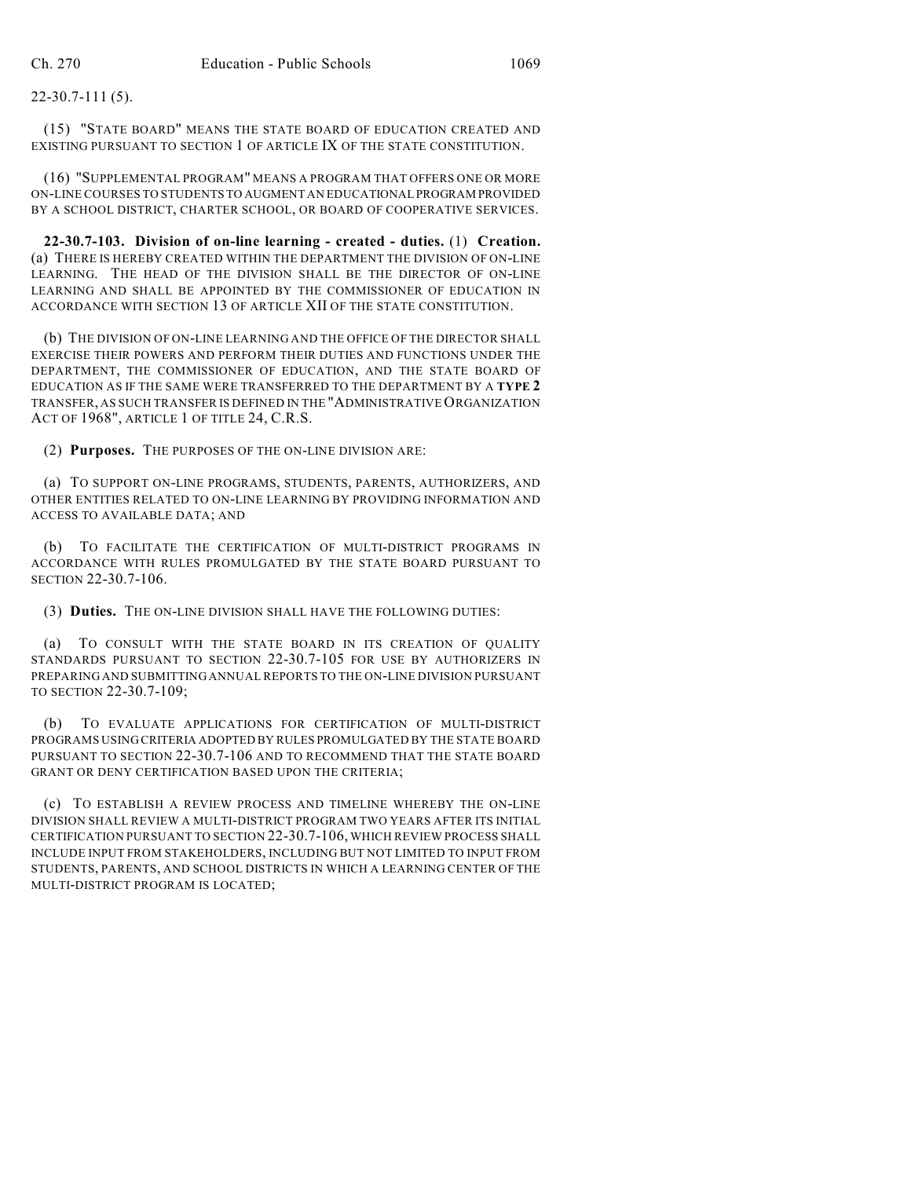22-30.7-111 (5).

(15) "STATE BOARD" MEANS THE STATE BOARD OF EDUCATION CREATED AND EXISTING PURSUANT TO SECTION 1 OF ARTICLE IX OF THE STATE CONSTITUTION.

(16) "SUPPLEMENTAL PROGRAM" MEANS A PROGRAM THAT OFFERS ONE OR MORE ON-LINE COURSES TO STUDENTS TO AUGMENT AN EDUCATIONAL PROGRAM PROVIDED BY A SCHOOL DISTRICT, CHARTER SCHOOL, OR BOARD OF COOPERATIVE SERVICES.

**22-30.7-103. Division of on-line learning - created - duties.** (1) **Creation.** (a) THERE IS HEREBY CREATED WITHIN THE DEPARTMENT THE DIVISION OF ON-LINE LEARNING. THE HEAD OF THE DIVISION SHALL BE THE DIRECTOR OF ON-LINE LEARNING AND SHALL BE APPOINTED BY THE COMMISSIONER OF EDUCATION IN ACCORDANCE WITH SECTION 13 OF ARTICLE XII OF THE STATE CONSTITUTION.

(b) THE DIVISION OF ON-LINE LEARNING AND THE OFFICE OF THE DIRECTOR SHALL EXERCISE THEIR POWERS AND PERFORM THEIR DUTIES AND FUNCTIONS UNDER THE DEPARTMENT, THE COMMISSIONER OF EDUCATION, AND THE STATE BOARD OF EDUCATION AS IF THE SAME WERE TRANSFERRED TO THE DEPARTMENT BY A **TYPE 2** TRANSFER, AS SUCH TRANSFER IS DEFINED IN THE "ADMINISTRATIVE ORGANIZATION ACT OF 1968", ARTICLE 1 OF TITLE 24, C.R.S.

(2) **Purposes.** THE PURPOSES OF THE ON-LINE DIVISION ARE:

(a) TO SUPPORT ON-LINE PROGRAMS, STUDENTS, PARENTS, AUTHORIZERS, AND OTHER ENTITIES RELATED TO ON-LINE LEARNING BY PROVIDING INFORMATION AND ACCESS TO AVAILABLE DATA; AND

(b) TO FACILITATE THE CERTIFICATION OF MULTI-DISTRICT PROGRAMS IN ACCORDANCE WITH RULES PROMULGATED BY THE STATE BOARD PURSUANT TO SECTION 22-30.7-106.

(3) **Duties.** THE ON-LINE DIVISION SHALL HAVE THE FOLLOWING DUTIES:

(a) TO CONSULT WITH THE STATE BOARD IN ITS CREATION OF QUALITY STANDARDS PURSUANT TO SECTION 22-30.7-105 FOR USE BY AUTHORIZERS IN PREPARING AND SUBMITTING ANNUAL REPORTS TO THE ON-LINE DIVISION PURSUANT TO SECTION 22-30.7-109;

(b) TO EVALUATE APPLICATIONS FOR CERTIFICATION OF MULTI-DISTRICT PROGRAMS USING CRITERIA ADOPTED BY RULES PROMULGATED BY THE STATE BOARD PURSUANT TO SECTION 22-30.7-106 AND TO RECOMMEND THAT THE STATE BOARD GRANT OR DENY CERTIFICATION BASED UPON THE CRITERIA;

(c) TO ESTABLISH A REVIEW PROCESS AND TIMELINE WHEREBY THE ON-LINE DIVISION SHALL REVIEW A MULTI-DISTRICT PROGRAM TWO YEARS AFTER ITS INITIAL CERTIFICATION PURSUANT TO SECTION 22-30.7-106, WHICH REVIEW PROCESS SHALL INCLUDE INPUT FROM STAKEHOLDERS, INCLUDING BUT NOT LIMITED TO INPUT FROM STUDENTS, PARENTS, AND SCHOOL DISTRICTS IN WHICH A LEARNING CENTER OF THE MULTI-DISTRICT PROGRAM IS LOCATED;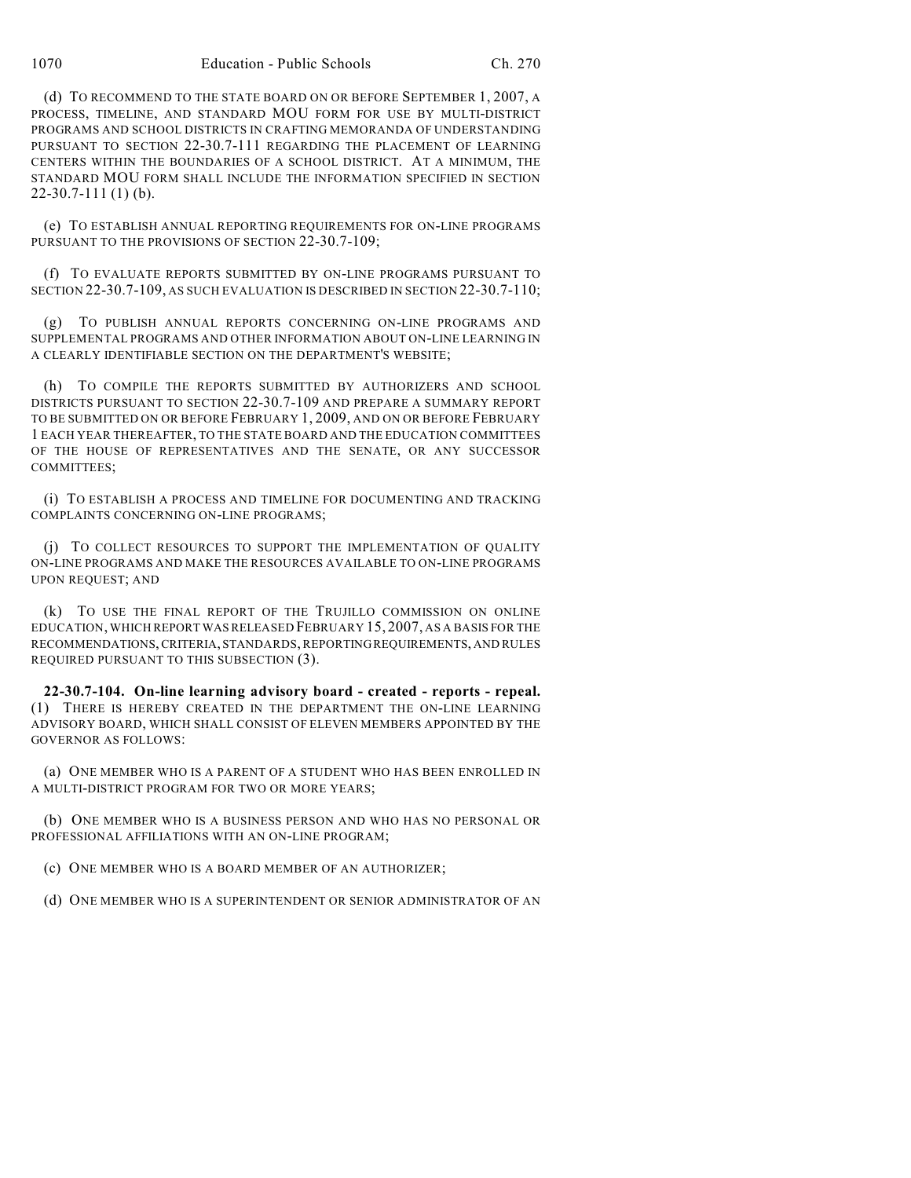(d) TO RECOMMEND TO THE STATE BOARD ON OR BEFORE SEPTEMBER 1, 2007, A PROCESS, TIMELINE, AND STANDARD MOU FORM FOR USE BY MULTI-DISTRICT PROGRAMS AND SCHOOL DISTRICTS IN CRAFTING MEMORANDA OF UNDERSTANDING PURSUANT TO SECTION 22-30.7-111 REGARDING THE PLACEMENT OF LEARNING CENTERS WITHIN THE BOUNDARIES OF A SCHOOL DISTRICT. AT A MINIMUM, THE STANDARD MOU FORM SHALL INCLUDE THE INFORMATION SPECIFIED IN SECTION 22-30.7-111 (1) (b).

(e) TO ESTABLISH ANNUAL REPORTING REQUIREMENTS FOR ON-LINE PROGRAMS PURSUANT TO THE PROVISIONS OF SECTION 22-30.7-109;

(f) TO EVALUATE REPORTS SUBMITTED BY ON-LINE PROGRAMS PURSUANT TO SECTION 22-30.7-109, AS SUCH EVALUATION IS DESCRIBED IN SECTION 22-30.7-110;

(g) TO PUBLISH ANNUAL REPORTS CONCERNING ON-LINE PROGRAMS AND SUPPLEMENTAL PROGRAMS AND OTHER INFORMATION ABOUT ON-LINE LEARNING IN A CLEARLY IDENTIFIABLE SECTION ON THE DEPARTMENT'S WEBSITE;

(h) TO COMPILE THE REPORTS SUBMITTED BY AUTHORIZERS AND SCHOOL DISTRICTS PURSUANT TO SECTION 22-30.7-109 AND PREPARE A SUMMARY REPORT TO BE SUBMITTED ON OR BEFORE FEBRUARY 1, 2009, AND ON OR BEFORE FEBRUARY 1 EACH YEAR THEREAFTER, TO THE STATE BOARD AND THE EDUCATION COMMITTEES OF THE HOUSE OF REPRESENTATIVES AND THE SENATE, OR ANY SUCCESSOR COMMITTEES;

(i) TO ESTABLISH A PROCESS AND TIMELINE FOR DOCUMENTING AND TRACKING COMPLAINTS CONCERNING ON-LINE PROGRAMS;

(j) TO COLLECT RESOURCES TO SUPPORT THE IMPLEMENTATION OF QUALITY ON-LINE PROGRAMS AND MAKE THE RESOURCES AVAILABLE TO ON-LINE PROGRAMS UPON REQUEST; AND

(k) TO USE THE FINAL REPORT OF THE TRUJILLO COMMISSION ON ONLINE EDUCATION, WHICH REPORT WAS RELEASED FEBRUARY 15, 2007, AS A BASIS FOR THE RECOMMENDATIONS, CRITERIA, STANDARDS, REPORTING REQUIREMENTS, AND RULES REQUIRED PURSUANT TO THIS SUBSECTION (3).

**22-30.7-104. On-line learning advisory board - created - reports - repeal.** (1) THERE IS HEREBY CREATED IN THE DEPARTMENT THE ON-LINE LEARNING ADVISORY BOARD, WHICH SHALL CONSIST OF ELEVEN MEMBERS APPOINTED BY THE GOVERNOR AS FOLLOWS:

(a) ONE MEMBER WHO IS A PARENT OF A STUDENT WHO HAS BEEN ENROLLED IN A MULTI-DISTRICT PROGRAM FOR TWO OR MORE YEARS;

(b) ONE MEMBER WHO IS A BUSINESS PERSON AND WHO HAS NO PERSONAL OR PROFESSIONAL AFFILIATIONS WITH AN ON-LINE PROGRAM;

(c) ONE MEMBER WHO IS A BOARD MEMBER OF AN AUTHORIZER;

(d) ONE MEMBER WHO IS A SUPERINTENDENT OR SENIOR ADMINISTRATOR OF AN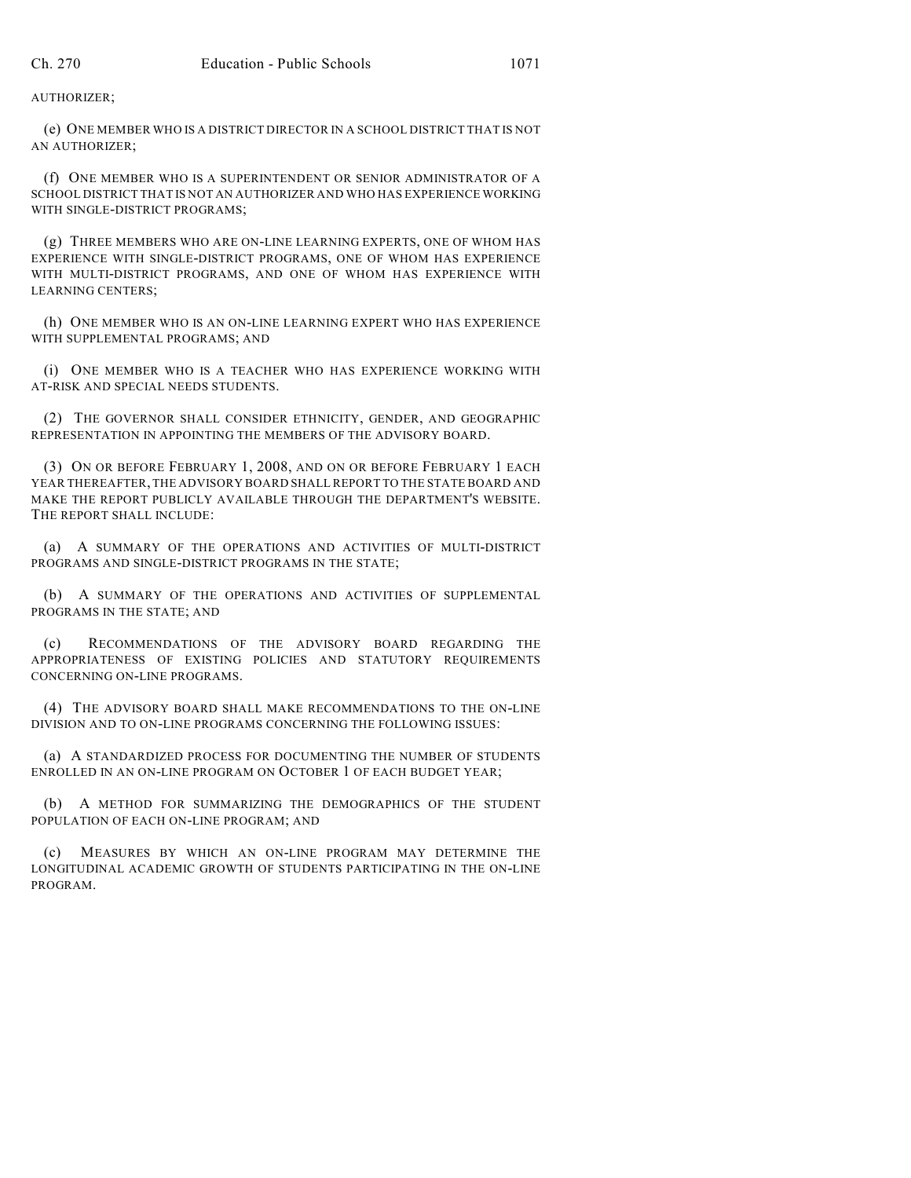AUTHORIZER;

(e) ONE MEMBER WHO IS A DISTRICT DIRECTOR IN A SCHOOL DISTRICT THAT IS NOT AN AUTHORIZER;

(f) ONE MEMBER WHO IS A SUPERINTENDENT OR SENIOR ADMINISTRATOR OF A SCHOOL DISTRICT THAT IS NOT AN AUTHORIZER AND WHO HAS EXPERIENCE WORKING WITH SINGLE-DISTRICT PROGRAMS;

(g) THREE MEMBERS WHO ARE ON-LINE LEARNING EXPERTS, ONE OF WHOM HAS EXPERIENCE WITH SINGLE-DISTRICT PROGRAMS, ONE OF WHOM HAS EXPERIENCE WITH MULTI-DISTRICT PROGRAMS, AND ONE OF WHOM HAS EXPERIENCE WITH LEARNING CENTERS;

(h) ONE MEMBER WHO IS AN ON-LINE LEARNING EXPERT WHO HAS EXPERIENCE WITH SUPPLEMENTAL PROGRAMS; AND

(i) ONE MEMBER WHO IS A TEACHER WHO HAS EXPERIENCE WORKING WITH AT-RISK AND SPECIAL NEEDS STUDENTS.

(2) THE GOVERNOR SHALL CONSIDER ETHNICITY, GENDER, AND GEOGRAPHIC REPRESENTATION IN APPOINTING THE MEMBERS OF THE ADVISORY BOARD.

(3) ON OR BEFORE FEBRUARY 1, 2008, AND ON OR BEFORE FEBRUARY 1 EACH YEAR THEREAFTER, THE ADVISORY BOARD SHALL REPORT TO THE STATE BOARD AND MAKE THE REPORT PUBLICLY AVAILABLE THROUGH THE DEPARTMENT'S WEBSITE. THE REPORT SHALL INCLUDE:

(a) A SUMMARY OF THE OPERATIONS AND ACTIVITIES OF MULTI-DISTRICT PROGRAMS AND SINGLE-DISTRICT PROGRAMS IN THE STATE;

(b) A SUMMARY OF THE OPERATIONS AND ACTIVITIES OF SUPPLEMENTAL PROGRAMS IN THE STATE; AND

(c) RECOMMENDATIONS OF THE ADVISORY BOARD REGARDING THE APPROPRIATENESS OF EXISTING POLICIES AND STATUTORY REQUIREMENTS CONCERNING ON-LINE PROGRAMS.

(4) THE ADVISORY BOARD SHALL MAKE RECOMMENDATIONS TO THE ON-LINE DIVISION AND TO ON-LINE PROGRAMS CONCERNING THE FOLLOWING ISSUES:

(a) A STANDARDIZED PROCESS FOR DOCUMENTING THE NUMBER OF STUDENTS ENROLLED IN AN ON-LINE PROGRAM ON OCTOBER 1 OF EACH BUDGET YEAR;

(b) A METHOD FOR SUMMARIZING THE DEMOGRAPHICS OF THE STUDENT POPULATION OF EACH ON-LINE PROGRAM; AND

(c) MEASURES BY WHICH AN ON-LINE PROGRAM MAY DETERMINE THE LONGITUDINAL ACADEMIC GROWTH OF STUDENTS PARTICIPATING IN THE ON-LINE PROGRAM.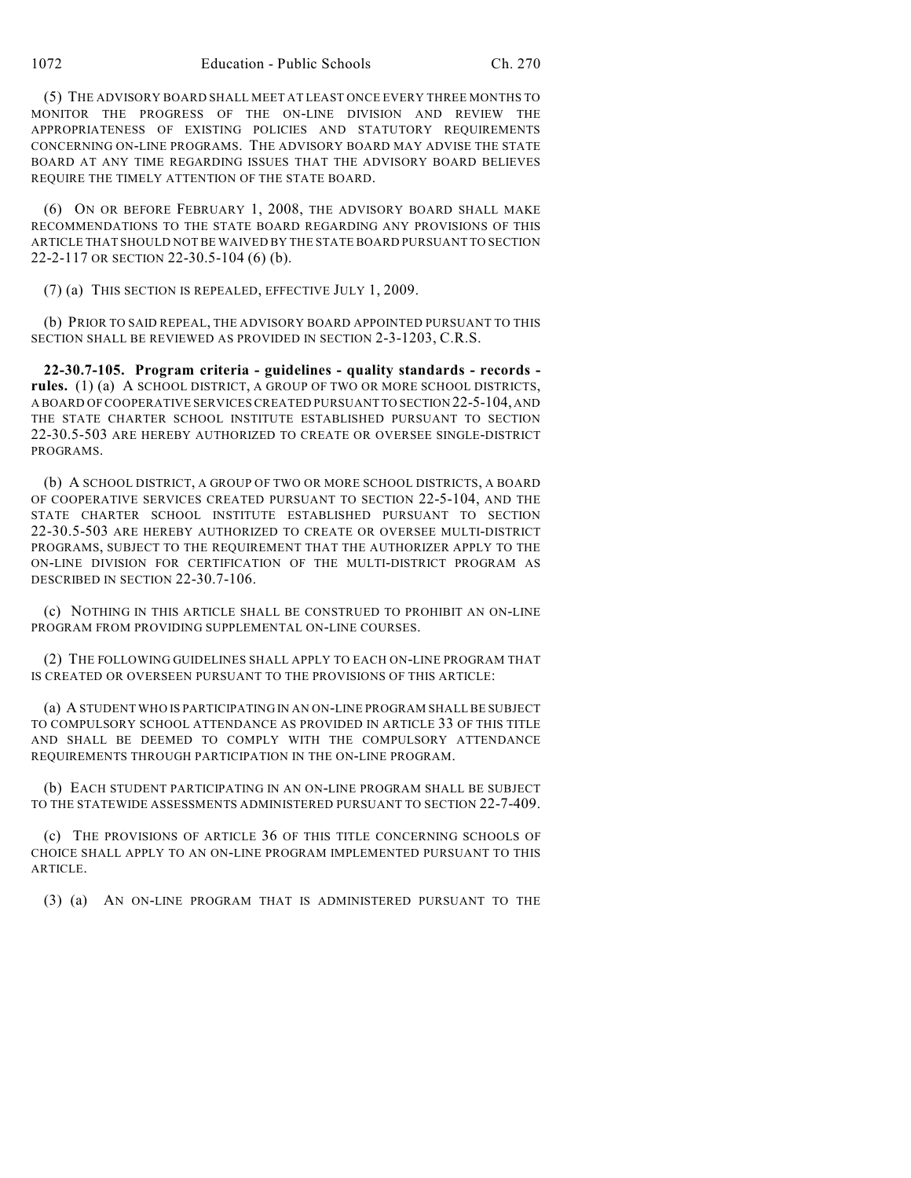(5) THE ADVISORY BOARD SHALL MEET AT LEAST ONCE EVERY THREE MONTHS TO MONITOR THE PROGRESS OF THE ON-LINE DIVISION AND REVIEW THE APPROPRIATENESS OF EXISTING POLICIES AND STATUTORY REQUIREMENTS CONCERNING ON-LINE PROGRAMS. THE ADVISORY BOARD MAY ADVISE THE STATE BOARD AT ANY TIME REGARDING ISSUES THAT THE ADVISORY BOARD BELIEVES REQUIRE THE TIMELY ATTENTION OF THE STATE BOARD.

(6) ON OR BEFORE FEBRUARY 1, 2008, THE ADVISORY BOARD SHALL MAKE RECOMMENDATIONS TO THE STATE BOARD REGARDING ANY PROVISIONS OF THIS ARTICLE THAT SHOULD NOT BE WAIVED BY THE STATE BOARD PURSUANT TO SECTION 22-2-117 OR SECTION 22-30.5-104 (6) (b).

(7) (a) THIS SECTION IS REPEALED, EFFECTIVE JULY 1, 2009.

(b) PRIOR TO SAID REPEAL, THE ADVISORY BOARD APPOINTED PURSUANT TO THIS SECTION SHALL BE REVIEWED AS PROVIDED IN SECTION 2-3-1203, C.R.S.

**22-30.7-105. Program criteria - guidelines - quality standards - records rules.** (1) (a) A SCHOOL DISTRICT, A GROUP OF TWO OR MORE SCHOOL DISTRICTS, A BOARD OF COOPERATIVE SERVICES CREATED PURSUANT TO SECTION 22-5-104, AND THE STATE CHARTER SCHOOL INSTITUTE ESTABLISHED PURSUANT TO SECTION 22-30.5-503 ARE HEREBY AUTHORIZED TO CREATE OR OVERSEE SINGLE-DISTRICT PROGRAMS.

(b) A SCHOOL DISTRICT, A GROUP OF TWO OR MORE SCHOOL DISTRICTS, A BOARD OF COOPERATIVE SERVICES CREATED PURSUANT TO SECTION 22-5-104, AND THE STATE CHARTER SCHOOL INSTITUTE ESTABLISHED PURSUANT TO SECTION 22-30.5-503 ARE HEREBY AUTHORIZED TO CREATE OR OVERSEE MULTI-DISTRICT PROGRAMS, SUBJECT TO THE REQUIREMENT THAT THE AUTHORIZER APPLY TO THE ON-LINE DIVISION FOR CERTIFICATION OF THE MULTI-DISTRICT PROGRAM AS DESCRIBED IN SECTION 22-30.7-106.

(c) NOTHING IN THIS ARTICLE SHALL BE CONSTRUED TO PROHIBIT AN ON-LINE PROGRAM FROM PROVIDING SUPPLEMENTAL ON-LINE COURSES.

(2) THE FOLLOWING GUIDELINES SHALL APPLY TO EACH ON-LINE PROGRAM THAT IS CREATED OR OVERSEEN PURSUANT TO THE PROVISIONS OF THIS ARTICLE:

(a) A STUDENT WHO IS PARTICIPATING IN AN ON-LINE PROGRAM SHALL BE SUBJECT TO COMPULSORY SCHOOL ATTENDANCE AS PROVIDED IN ARTICLE 33 OF THIS TITLE AND SHALL BE DEEMED TO COMPLY WITH THE COMPULSORY ATTENDANCE REQUIREMENTS THROUGH PARTICIPATION IN THE ON-LINE PROGRAM.

(b) EACH STUDENT PARTICIPATING IN AN ON-LINE PROGRAM SHALL BE SUBJECT TO THE STATEWIDE ASSESSMENTS ADMINISTERED PURSUANT TO SECTION 22-7-409.

(c) THE PROVISIONS OF ARTICLE 36 OF THIS TITLE CONCERNING SCHOOLS OF CHOICE SHALL APPLY TO AN ON-LINE PROGRAM IMPLEMENTED PURSUANT TO THIS ARTICLE.

(3) (a) AN ON-LINE PROGRAM THAT IS ADMINISTERED PURSUANT TO THE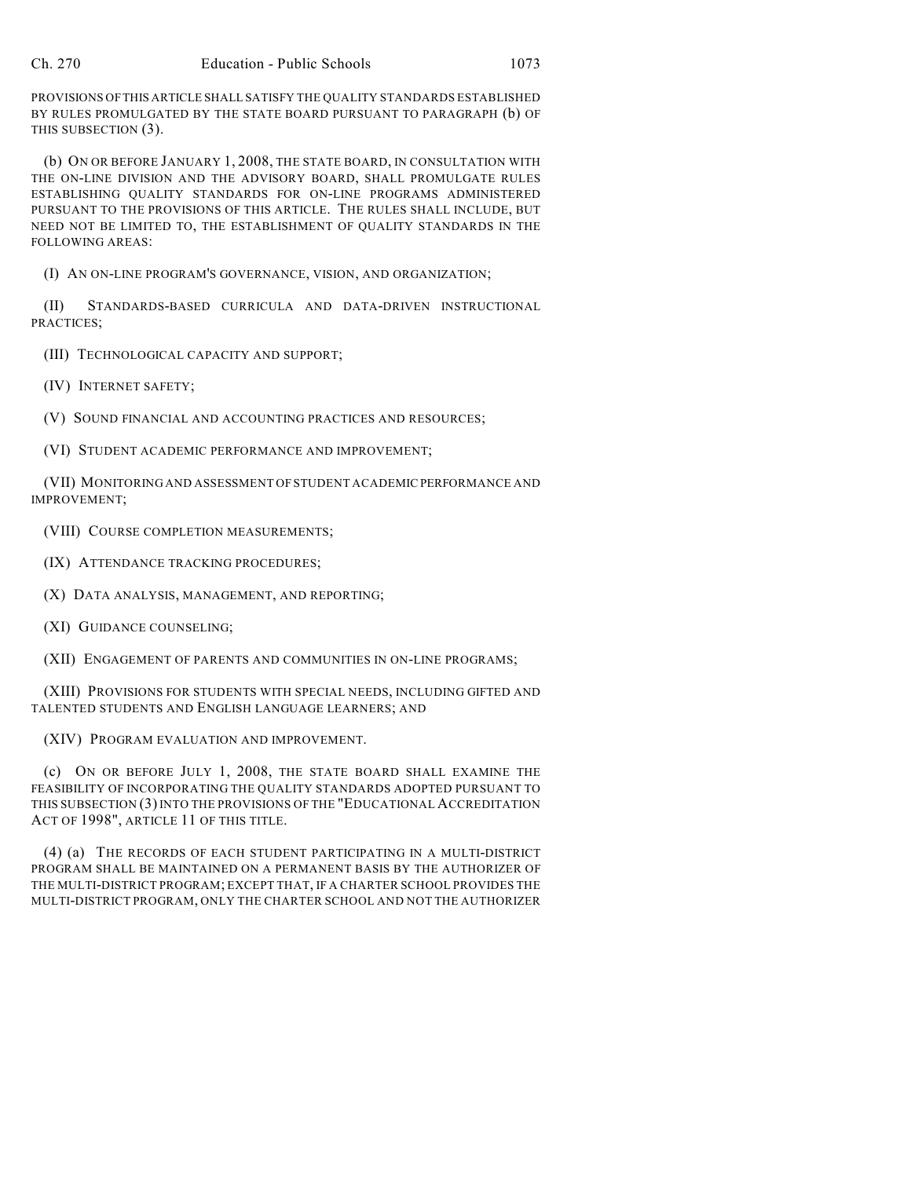PROVISIONS OF THIS ARTICLE SHALL SATISFY THE QUALITY STANDARDS ESTABLISHED BY RULES PROMULGATED BY THE STATE BOARD PURSUANT TO PARAGRAPH (b) OF THIS SUBSECTION (3).

(b) ON OR BEFORE JANUARY 1, 2008, THE STATE BOARD, IN CONSULTATION WITH THE ON-LINE DIVISION AND THE ADVISORY BOARD, SHALL PROMULGATE RULES ESTABLISHING QUALITY STANDARDS FOR ON-LINE PROGRAMS ADMINISTERED PURSUANT TO THE PROVISIONS OF THIS ARTICLE. THE RULES SHALL INCLUDE, BUT NEED NOT BE LIMITED TO, THE ESTABLISHMENT OF QUALITY STANDARDS IN THE FOLLOWING AREAS:

(I) AN ON-LINE PROGRAM'S GOVERNANCE, VISION, AND ORGANIZATION;

(II) STANDARDS-BASED CURRICULA AND DATA-DRIVEN INSTRUCTIONAL PRACTICES;

(III) TECHNOLOGICAL CAPACITY AND SUPPORT;

(IV) INTERNET SAFETY;

(V) SOUND FINANCIAL AND ACCOUNTING PRACTICES AND RESOURCES;

(VI) STUDENT ACADEMIC PERFORMANCE AND IMPROVEMENT;

(VII) MONITORING AND ASSESSMENT OF STUDENT ACADEMIC PERFORMANCE AND IMPROVEMENT;

(VIII) COURSE COMPLETION MEASUREMENTS;

(IX) ATTENDANCE TRACKING PROCEDURES;

(X) DATA ANALYSIS, MANAGEMENT, AND REPORTING;

(XI) GUIDANCE COUNSELING;

(XII) ENGAGEMENT OF PARENTS AND COMMUNITIES IN ON-LINE PROGRAMS;

(XIII) PROVISIONS FOR STUDENTS WITH SPECIAL NEEDS, INCLUDING GIFTED AND TALENTED STUDENTS AND ENGLISH LANGUAGE LEARNERS; AND

(XIV) PROGRAM EVALUATION AND IMPROVEMENT.

(c) ON OR BEFORE JULY 1, 2008, THE STATE BOARD SHALL EXAMINE THE FEASIBILITY OF INCORPORATING THE QUALITY STANDARDS ADOPTED PURSUANT TO THIS SUBSECTION (3)INTO THE PROVISIONS OF THE "EDUCATIONAL ACCREDITATION ACT OF 1998", ARTICLE 11 OF THIS TITLE.

(4) (a) THE RECORDS OF EACH STUDENT PARTICIPATING IN A MULTI-DISTRICT PROGRAM SHALL BE MAINTAINED ON A PERMANENT BASIS BY THE AUTHORIZER OF THE MULTI-DISTRICT PROGRAM; EXCEPT THAT, IF A CHARTER SCHOOL PROVIDES THE MULTI-DISTRICT PROGRAM, ONLY THE CHARTER SCHOOL AND NOT THE AUTHORIZER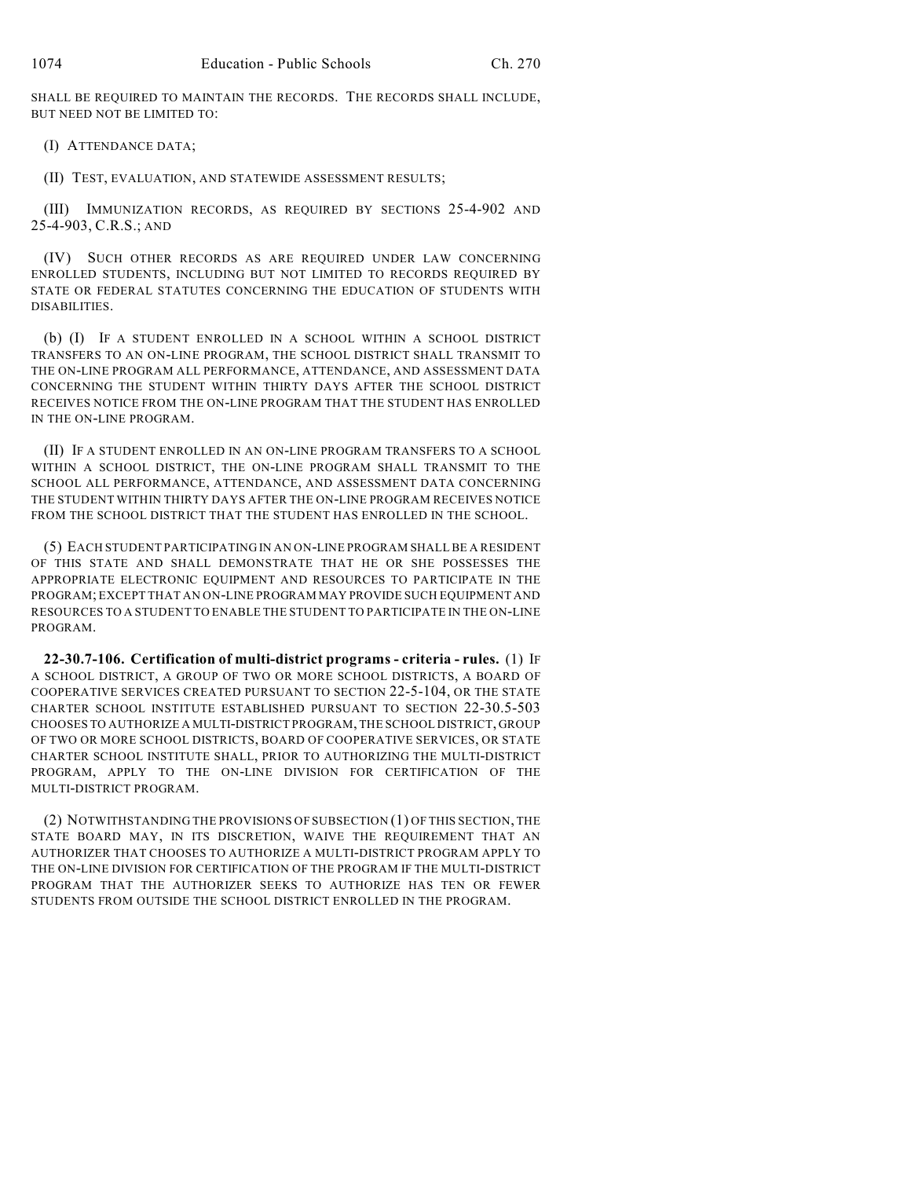SHALL BE REQUIRED TO MAINTAIN THE RECORDS. THE RECORDS SHALL INCLUDE, BUT NEED NOT BE LIMITED TO:

(I) ATTENDANCE DATA;

(II) TEST, EVALUATION, AND STATEWIDE ASSESSMENT RESULTS;

(III) IMMUNIZATION RECORDS, AS REQUIRED BY SECTIONS 25-4-902 AND 25-4-903, C.R.S.; AND

(IV) SUCH OTHER RECORDS AS ARE REQUIRED UNDER LAW CONCERNING ENROLLED STUDENTS, INCLUDING BUT NOT LIMITED TO RECORDS REQUIRED BY STATE OR FEDERAL STATUTES CONCERNING THE EDUCATION OF STUDENTS WITH DISABILITIES.

(b) (I) IF A STUDENT ENROLLED IN A SCHOOL WITHIN A SCHOOL DISTRICT TRANSFERS TO AN ON-LINE PROGRAM, THE SCHOOL DISTRICT SHALL TRANSMIT TO THE ON-LINE PROGRAM ALL PERFORMANCE, ATTENDANCE, AND ASSESSMENT DATA CONCERNING THE STUDENT WITHIN THIRTY DAYS AFTER THE SCHOOL DISTRICT RECEIVES NOTICE FROM THE ON-LINE PROGRAM THAT THE STUDENT HAS ENROLLED IN THE ON-LINE PROGRAM.

(II) IF A STUDENT ENROLLED IN AN ON-LINE PROGRAM TRANSFERS TO A SCHOOL WITHIN A SCHOOL DISTRICT, THE ON-LINE PROGRAM SHALL TRANSMIT TO THE SCHOOL ALL PERFORMANCE, ATTENDANCE, AND ASSESSMENT DATA CONCERNING THE STUDENT WITHIN THIRTY DAYS AFTER THE ON-LINE PROGRAM RECEIVES NOTICE FROM THE SCHOOL DISTRICT THAT THE STUDENT HAS ENROLLED IN THE SCHOOL.

(5) EACH STUDENT PARTICIPATING IN AN ON-LINE PROGRAM SHALL BE A RESIDENT OF THIS STATE AND SHALL DEMONSTRATE THAT HE OR SHE POSSESSES THE APPROPRIATE ELECTRONIC EQUIPMENT AND RESOURCES TO PARTICIPATE IN THE PROGRAM; EXCEPT THAT AN ON-LINE PROGRAM MAY PROVIDE SUCH EQUIPMENT AND RESOURCES TO A STUDENT TO ENABLE THE STUDENT TO PARTICIPATE IN THE ON-LINE PROGRAM.

**22-30.7-106. Certification of multi-district programs - criteria - rules.** (1) IF A SCHOOL DISTRICT, A GROUP OF TWO OR MORE SCHOOL DISTRICTS, A BOARD OF COOPERATIVE SERVICES CREATED PURSUANT TO SECTION 22-5-104, OR THE STATE CHARTER SCHOOL INSTITUTE ESTABLISHED PURSUANT TO SECTION 22-30.5-503 CHOOSES TO AUTHORIZE A MULTI-DISTRICT PROGRAM, THE SCHOOL DISTRICT, GROUP OF TWO OR MORE SCHOOL DISTRICTS, BOARD OF COOPERATIVE SERVICES, OR STATE CHARTER SCHOOL INSTITUTE SHALL, PRIOR TO AUTHORIZING THE MULTI-DISTRICT PROGRAM, APPLY TO THE ON-LINE DIVISION FOR CERTIFICATION OF THE MULTI-DISTRICT PROGRAM.

(2) NOTWITHSTANDING THE PROVISIONS OF SUBSECTION (1) OF THIS SECTION, THE STATE BOARD MAY, IN ITS DISCRETION, WAIVE THE REQUIREMENT THAT AN AUTHORIZER THAT CHOOSES TO AUTHORIZE A MULTI-DISTRICT PROGRAM APPLY TO THE ON-LINE DIVISION FOR CERTIFICATION OF THE PROGRAM IF THE MULTI-DISTRICT PROGRAM THAT THE AUTHORIZER SEEKS TO AUTHORIZE HAS TEN OR FEWER STUDENTS FROM OUTSIDE THE SCHOOL DISTRICT ENROLLED IN THE PROGRAM.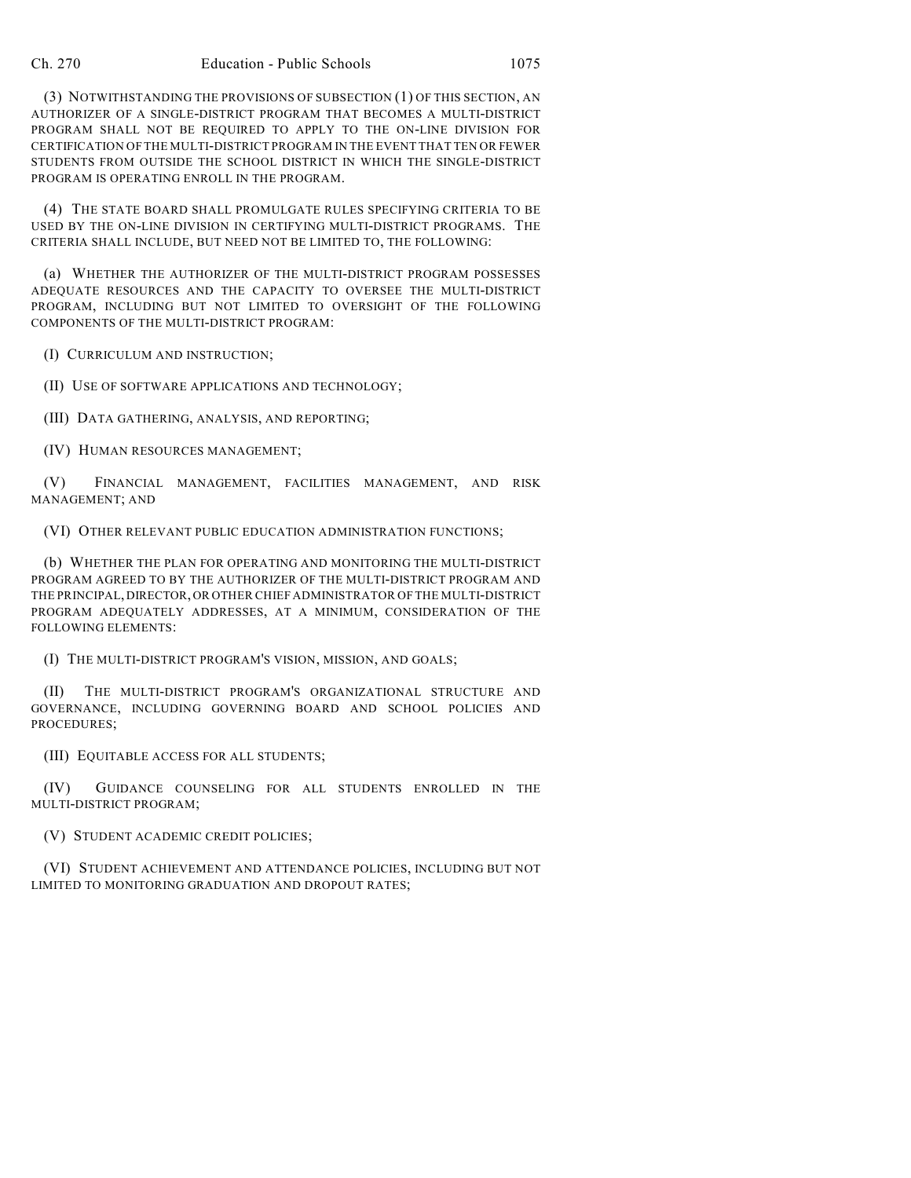(3) NOTWITHSTANDING THE PROVISIONS OF SUBSECTION (1) OF THIS SECTION, AN AUTHORIZER OF A SINGLE-DISTRICT PROGRAM THAT BECOMES A MULTI-DISTRICT PROGRAM SHALL NOT BE REQUIRED TO APPLY TO THE ON-LINE DIVISION FOR CERTIFICATION OF THE MULTI-DISTRICT PROGRAM IN THE EVENT THAT TEN OR FEWER STUDENTS FROM OUTSIDE THE SCHOOL DISTRICT IN WHICH THE SINGLE-DISTRICT PROGRAM IS OPERATING ENROLL IN THE PROGRAM.

(4) THE STATE BOARD SHALL PROMULGATE RULES SPECIFYING CRITERIA TO BE USED BY THE ON-LINE DIVISION IN CERTIFYING MULTI-DISTRICT PROGRAMS. THE CRITERIA SHALL INCLUDE, BUT NEED NOT BE LIMITED TO, THE FOLLOWING:

(a) WHETHER THE AUTHORIZER OF THE MULTI-DISTRICT PROGRAM POSSESSES ADEQUATE RESOURCES AND THE CAPACITY TO OVERSEE THE MULTI-DISTRICT PROGRAM, INCLUDING BUT NOT LIMITED TO OVERSIGHT OF THE FOLLOWING COMPONENTS OF THE MULTI-DISTRICT PROGRAM:

(I) CURRICULUM AND INSTRUCTION;

(II) USE OF SOFTWARE APPLICATIONS AND TECHNOLOGY;

(III) DATA GATHERING, ANALYSIS, AND REPORTING;

(IV) HUMAN RESOURCES MANAGEMENT;

(V) FINANCIAL MANAGEMENT, FACILITIES MANAGEMENT, AND RISK MANAGEMENT; AND

(VI) OTHER RELEVANT PUBLIC EDUCATION ADMINISTRATION FUNCTIONS;

(b) WHETHER THE PLAN FOR OPERATING AND MONITORING THE MULTI-DISTRICT PROGRAM AGREED TO BY THE AUTHORIZER OF THE MULTI-DISTRICT PROGRAM AND THE PRINCIPAL, DIRECTOR, OR OTHER CHIEF ADMINISTRATOR OF THE MULTI-DISTRICT PROGRAM ADEQUATELY ADDRESSES, AT A MINIMUM, CONSIDERATION OF THE FOLLOWING ELEMENTS:

(I) THE MULTI-DISTRICT PROGRAM'S VISION, MISSION, AND GOALS;

(II) THE MULTI-DISTRICT PROGRAM'S ORGANIZATIONAL STRUCTURE AND GOVERNANCE, INCLUDING GOVERNING BOARD AND SCHOOL POLICIES AND PROCEDURES;

(III) EQUITABLE ACCESS FOR ALL STUDENTS;

(IV) GUIDANCE COUNSELING FOR ALL STUDENTS ENROLLED IN THE MULTI-DISTRICT PROGRAM;

(V) STUDENT ACADEMIC CREDIT POLICIES;

(VI) STUDENT ACHIEVEMENT AND ATTENDANCE POLICIES, INCLUDING BUT NOT LIMITED TO MONITORING GRADUATION AND DROPOUT RATES;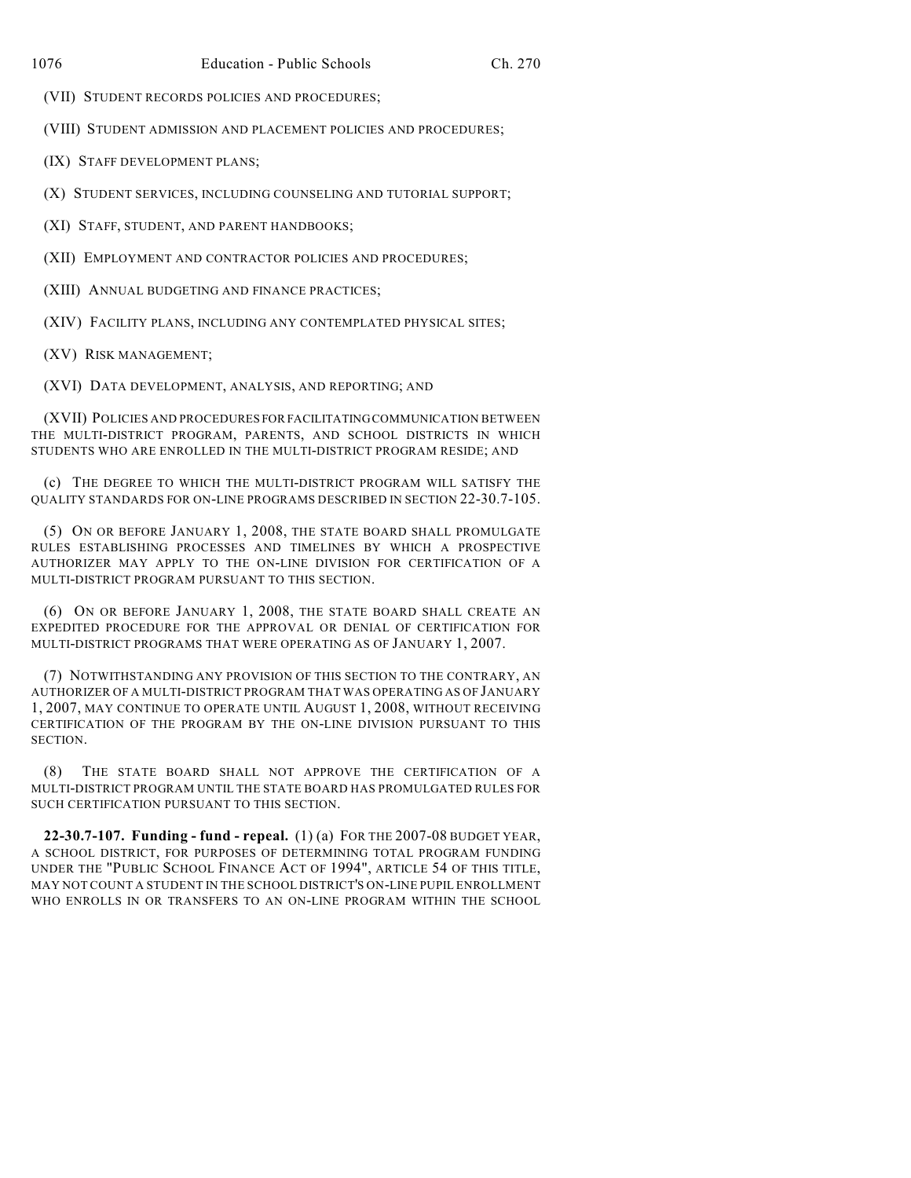(VII) STUDENT RECORDS POLICIES AND PROCEDURES;

(VIII) STUDENT ADMISSION AND PLACEMENT POLICIES AND PROCEDURES;

(IX) STAFF DEVELOPMENT PLANS;

(X) STUDENT SERVICES, INCLUDING COUNSELING AND TUTORIAL SUPPORT;

(XI) STAFF, STUDENT, AND PARENT HANDBOOKS;

(XII) EMPLOYMENT AND CONTRACTOR POLICIES AND PROCEDURES;

(XIII) ANNUAL BUDGETING AND FINANCE PRACTICES;

(XIV) FACILITY PLANS, INCLUDING ANY CONTEMPLATED PHYSICAL SITES;

(XV) RISK MANAGEMENT;

(XVI) DATA DEVELOPMENT, ANALYSIS, AND REPORTING; AND

(XVII) POLICIES AND PROCEDURES FOR FACILITATING COMMUNICATION BETWEEN THE MULTI-DISTRICT PROGRAM, PARENTS, AND SCHOOL DISTRICTS IN WHICH STUDENTS WHO ARE ENROLLED IN THE MULTI-DISTRICT PROGRAM RESIDE; AND

(c) THE DEGREE TO WHICH THE MULTI-DISTRICT PROGRAM WILL SATISFY THE QUALITY STANDARDS FOR ON-LINE PROGRAMS DESCRIBED IN SECTION 22-30.7-105.

(5) ON OR BEFORE JANUARY 1, 2008, THE STATE BOARD SHALL PROMULGATE RULES ESTABLISHING PROCESSES AND TIMELINES BY WHICH A PROSPECTIVE AUTHORIZER MAY APPLY TO THE ON-LINE DIVISION FOR CERTIFICATION OF A MULTI-DISTRICT PROGRAM PURSUANT TO THIS SECTION.

(6) ON OR BEFORE JANUARY 1, 2008, THE STATE BOARD SHALL CREATE AN EXPEDITED PROCEDURE FOR THE APPROVAL OR DENIAL OF CERTIFICATION FOR MULTI-DISTRICT PROGRAMS THAT WERE OPERATING AS OF JANUARY 1, 2007.

(7) NOTWITHSTANDING ANY PROVISION OF THIS SECTION TO THE CONTRARY, AN AUTHORIZER OF A MULTI-DISTRICT PROGRAM THAT WAS OPERATING AS OF JANUARY 1, 2007, MAY CONTINUE TO OPERATE UNTIL AUGUST 1, 2008, WITHOUT RECEIVING CERTIFICATION OF THE PROGRAM BY THE ON-LINE DIVISION PURSUANT TO THIS SECTION.

(8) THE STATE BOARD SHALL NOT APPROVE THE CERTIFICATION OF A MULTI-DISTRICT PROGRAM UNTIL THE STATE BOARD HAS PROMULGATED RULES FOR SUCH CERTIFICATION PURSUANT TO THIS SECTION.

**22-30.7-107. Funding - fund - repeal.** (1) (a) FOR THE 2007-08 BUDGET YEAR, A SCHOOL DISTRICT, FOR PURPOSES OF DETERMINING TOTAL PROGRAM FUNDING UNDER THE "PUBLIC SCHOOL FINANCE ACT OF 1994", ARTICLE 54 OF THIS TITLE, MAY NOT COUNT A STUDENT IN THE SCHOOL DISTRICT'S ON-LINE PUPIL ENROLLMENT WHO ENROLLS IN OR TRANSFERS TO AN ON-LINE PROGRAM WITHIN THE SCHOOL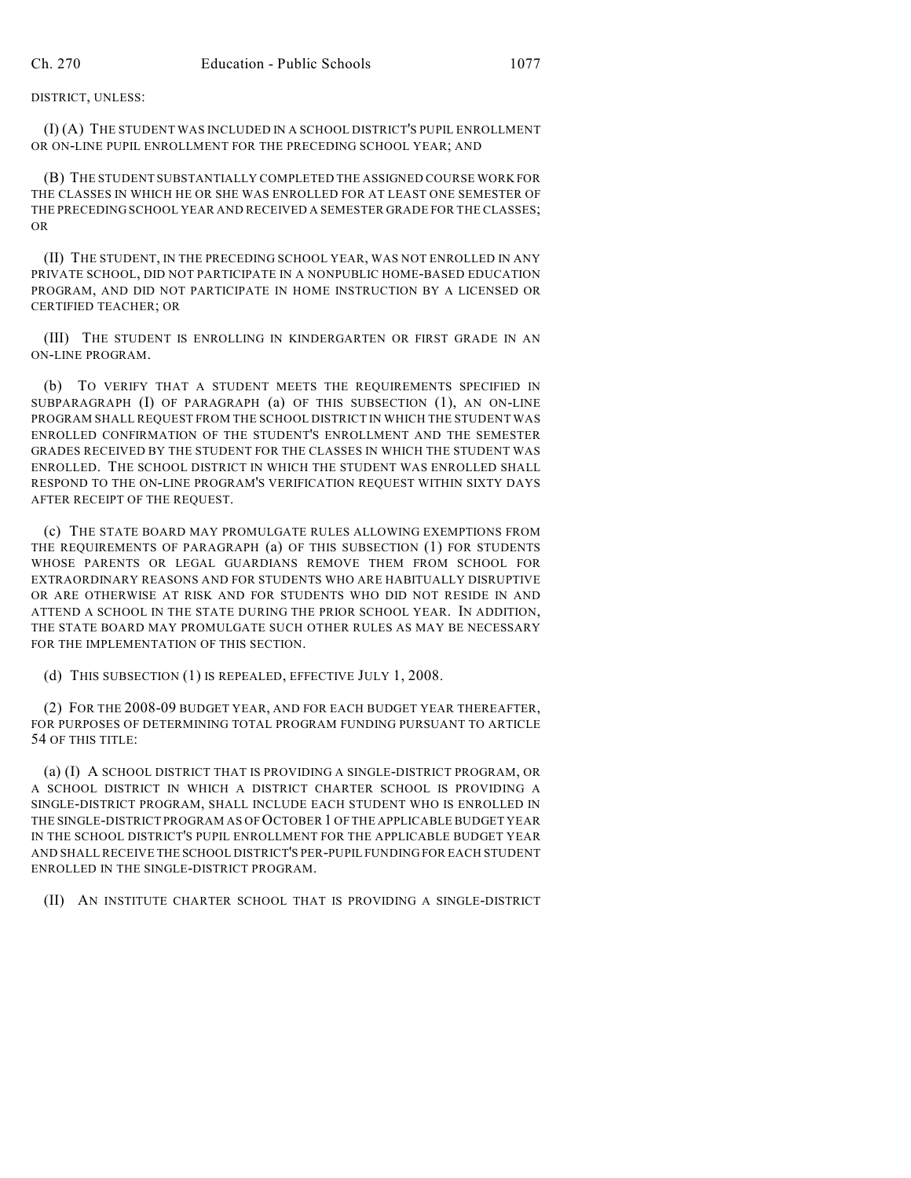DISTRICT, UNLESS:

(I) (A) THE STUDENT WAS INCLUDED IN A SCHOOL DISTRICT'S PUPIL ENROLLMENT OR ON-LINE PUPIL ENROLLMENT FOR THE PRECEDING SCHOOL YEAR; AND

(B) THE STUDENT SUBSTANTIALLY COMPLETED THE ASSIGNED COURSE WORK FOR THE CLASSES IN WHICH HE OR SHE WAS ENROLLED FOR AT LEAST ONE SEMESTER OF THE PRECEDING SCHOOL YEAR AND RECEIVED A SEMESTER GRADE FOR THE CLASSES; OR

(II) THE STUDENT, IN THE PRECEDING SCHOOL YEAR, WAS NOT ENROLLED IN ANY PRIVATE SCHOOL, DID NOT PARTICIPATE IN A NONPUBLIC HOME-BASED EDUCATION PROGRAM, AND DID NOT PARTICIPATE IN HOME INSTRUCTION BY A LICENSED OR CERTIFIED TEACHER; OR

(III) THE STUDENT IS ENROLLING IN KINDERGARTEN OR FIRST GRADE IN AN ON-LINE PROGRAM.

(b) TO VERIFY THAT A STUDENT MEETS THE REQUIREMENTS SPECIFIED IN SUBPARAGRAPH (I) OF PARAGRAPH (a) OF THIS SUBSECTION (1), AN ON-LINE PROGRAM SHALL REQUEST FROM THE SCHOOL DISTRICT IN WHICH THE STUDENT WAS ENROLLED CONFIRMATION OF THE STUDENT'S ENROLLMENT AND THE SEMESTER GRADES RECEIVED BY THE STUDENT FOR THE CLASSES IN WHICH THE STUDENT WAS ENROLLED. THE SCHOOL DISTRICT IN WHICH THE STUDENT WAS ENROLLED SHALL RESPOND TO THE ON-LINE PROGRAM'S VERIFICATION REQUEST WITHIN SIXTY DAYS AFTER RECEIPT OF THE REQUEST.

(c) THE STATE BOARD MAY PROMULGATE RULES ALLOWING EXEMPTIONS FROM THE REQUIREMENTS OF PARAGRAPH (a) OF THIS SUBSECTION (1) FOR STUDENTS WHOSE PARENTS OR LEGAL GUARDIANS REMOVE THEM FROM SCHOOL FOR EXTRAORDINARY REASONS AND FOR STUDENTS WHO ARE HABITUALLY DISRUPTIVE OR ARE OTHERWISE AT RISK AND FOR STUDENTS WHO DID NOT RESIDE IN AND ATTEND A SCHOOL IN THE STATE DURING THE PRIOR SCHOOL YEAR. IN ADDITION, THE STATE BOARD MAY PROMULGATE SUCH OTHER RULES AS MAY BE NECESSARY FOR THE IMPLEMENTATION OF THIS SECTION.

(d) THIS SUBSECTION (1) IS REPEALED, EFFECTIVE JULY 1, 2008.

(2) FOR THE 2008-09 BUDGET YEAR, AND FOR EACH BUDGET YEAR THEREAFTER, FOR PURPOSES OF DETERMINING TOTAL PROGRAM FUNDING PURSUANT TO ARTICLE 54 OF THIS TITLE:

(a) (I) A SCHOOL DISTRICT THAT IS PROVIDING A SINGLE-DISTRICT PROGRAM, OR A SCHOOL DISTRICT IN WHICH A DISTRICT CHARTER SCHOOL IS PROVIDING A SINGLE-DISTRICT PROGRAM, SHALL INCLUDE EACH STUDENT WHO IS ENROLLED IN THE SINGLE-DISTRICT PROGRAM AS OF OCTOBER 1 OF THE APPLICABLE BUDGET YEAR IN THE SCHOOL DISTRICT'S PUPIL ENROLLMENT FOR THE APPLICABLE BUDGET YEAR AND SHALL RECEIVE THE SCHOOL DISTRICT'S PER-PUPIL FUNDING FOR EACH STUDENT ENROLLED IN THE SINGLE-DISTRICT PROGRAM.

(II) AN INSTITUTE CHARTER SCHOOL THAT IS PROVIDING A SINGLE-DISTRICT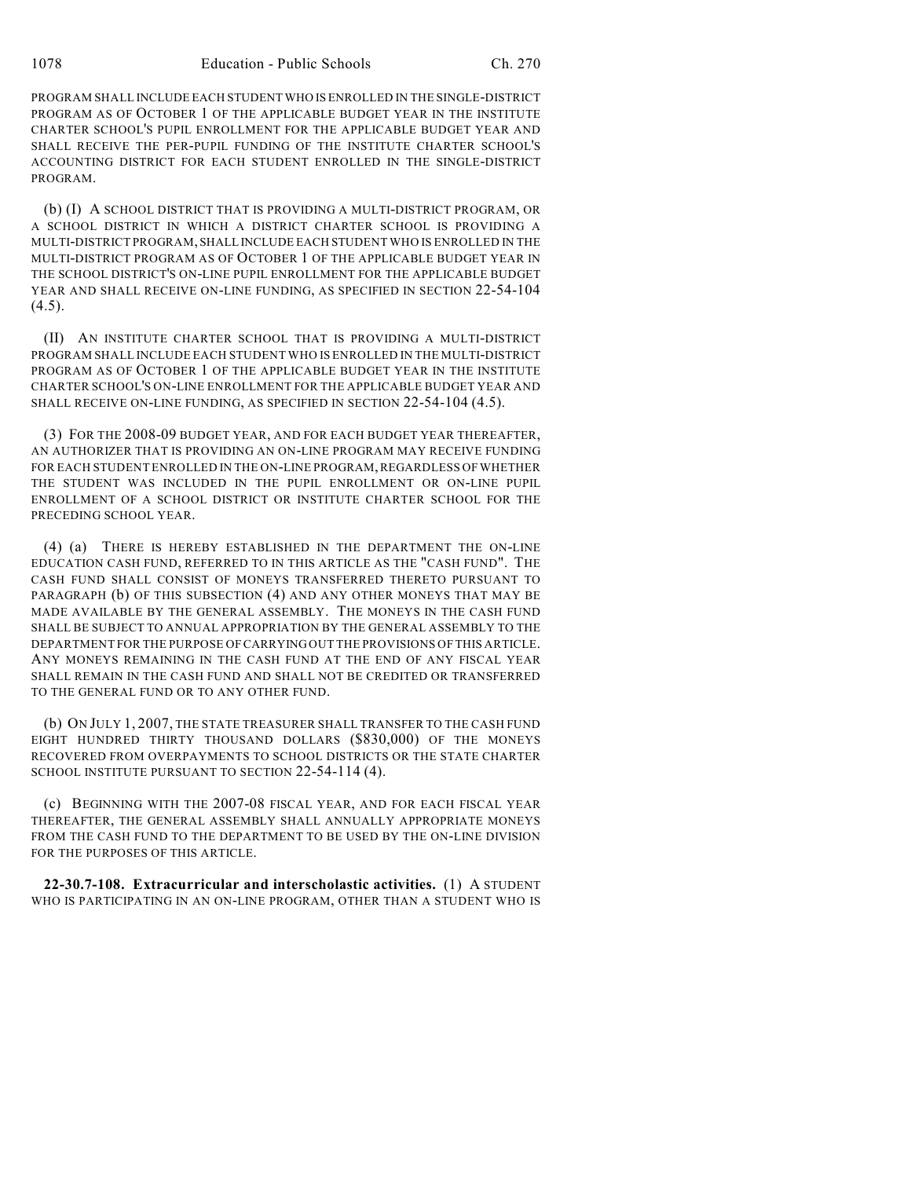PROGRAM SHALL INCLUDE EACH STUDENT WHO IS ENROLLED IN THE SINGLE-DISTRICT PROGRAM AS OF OCTOBER 1 OF THE APPLICABLE BUDGET YEAR IN THE INSTITUTE CHARTER SCHOOL'S PUPIL ENROLLMENT FOR THE APPLICABLE BUDGET YEAR AND SHALL RECEIVE THE PER-PUPIL FUNDING OF THE INSTITUTE CHARTER SCHOOL'S ACCOUNTING DISTRICT FOR EACH STUDENT ENROLLED IN THE SINGLE-DISTRICT PROGRAM.

(b) (I) A SCHOOL DISTRICT THAT IS PROVIDING A MULTI-DISTRICT PROGRAM, OR A SCHOOL DISTRICT IN WHICH A DISTRICT CHARTER SCHOOL IS PROVIDING A MULTI-DISTRICT PROGRAM, SHALL INCLUDE EACH STUDENT WHO IS ENROLLED IN THE MULTI-DISTRICT PROGRAM AS OF OCTOBER 1 OF THE APPLICABLE BUDGET YEAR IN THE SCHOOL DISTRICT'S ON-LINE PUPIL ENROLLMENT FOR THE APPLICABLE BUDGET YEAR AND SHALL RECEIVE ON-LINE FUNDING, AS SPECIFIED IN SECTION 22-54-104  $(4.5)$ .

(II) AN INSTITUTE CHARTER SCHOOL THAT IS PROVIDING A MULTI-DISTRICT PROGRAM SHALL INCLUDE EACH STUDENT WHO IS ENROLLED IN THE MULTI-DISTRICT PROGRAM AS OF OCTOBER 1 OF THE APPLICABLE BUDGET YEAR IN THE INSTITUTE CHARTER SCHOOL'S ON-LINE ENROLLMENT FOR THE APPLICABLE BUDGET YEAR AND SHALL RECEIVE ON-LINE FUNDING, AS SPECIFIED IN SECTION 22-54-104 (4.5).

(3) FOR THE 2008-09 BUDGET YEAR, AND FOR EACH BUDGET YEAR THEREAFTER, AN AUTHORIZER THAT IS PROVIDING AN ON-LINE PROGRAM MAY RECEIVE FUNDING FOR EACH STUDENT ENROLLED IN THE ON-LINE PROGRAM, REGARDLESS OF WHETHER THE STUDENT WAS INCLUDED IN THE PUPIL ENROLLMENT OR ON-LINE PUPIL ENROLLMENT OF A SCHOOL DISTRICT OR INSTITUTE CHARTER SCHOOL FOR THE PRECEDING SCHOOL YEAR.

(4) (a) THERE IS HEREBY ESTABLISHED IN THE DEPARTMENT THE ON-LINE EDUCATION CASH FUND, REFERRED TO IN THIS ARTICLE AS THE "CASH FUND". THE CASH FUND SHALL CONSIST OF MONEYS TRANSFERRED THERETO PURSUANT TO PARAGRAPH (b) OF THIS SUBSECTION (4) AND ANY OTHER MONEYS THAT MAY BE MADE AVAILABLE BY THE GENERAL ASSEMBLY. THE MONEYS IN THE CASH FUND SHALL BE SUBJECT TO ANNUAL APPROPRIATION BY THE GENERAL ASSEMBLY TO THE DEPARTMENT FOR THE PURPOSE OF CARRYING OUT THE PROVISIONS OF THIS ARTICLE. ANY MONEYS REMAINING IN THE CASH FUND AT THE END OF ANY FISCAL YEAR SHALL REMAIN IN THE CASH FUND AND SHALL NOT BE CREDITED OR TRANSFERRED TO THE GENERAL FUND OR TO ANY OTHER FUND.

(b) ON JULY 1, 2007, THE STATE TREASURER SHALL TRANSFER TO THE CASH FUND EIGHT HUNDRED THIRTY THOUSAND DOLLARS (\$830,000) OF THE MONEYS RECOVERED FROM OVERPAYMENTS TO SCHOOL DISTRICTS OR THE STATE CHARTER SCHOOL INSTITUTE PURSUANT TO SECTION 22-54-114 (4).

(c) BEGINNING WITH THE 2007-08 FISCAL YEAR, AND FOR EACH FISCAL YEAR THEREAFTER, THE GENERAL ASSEMBLY SHALL ANNUALLY APPROPRIATE MONEYS FROM THE CASH FUND TO THE DEPARTMENT TO BE USED BY THE ON-LINE DIVISION FOR THE PURPOSES OF THIS ARTICLE.

**22-30.7-108. Extracurricular and interscholastic activities.** (1) A STUDENT WHO IS PARTICIPATING IN AN ON-LINE PROGRAM, OTHER THAN A STUDENT WHO IS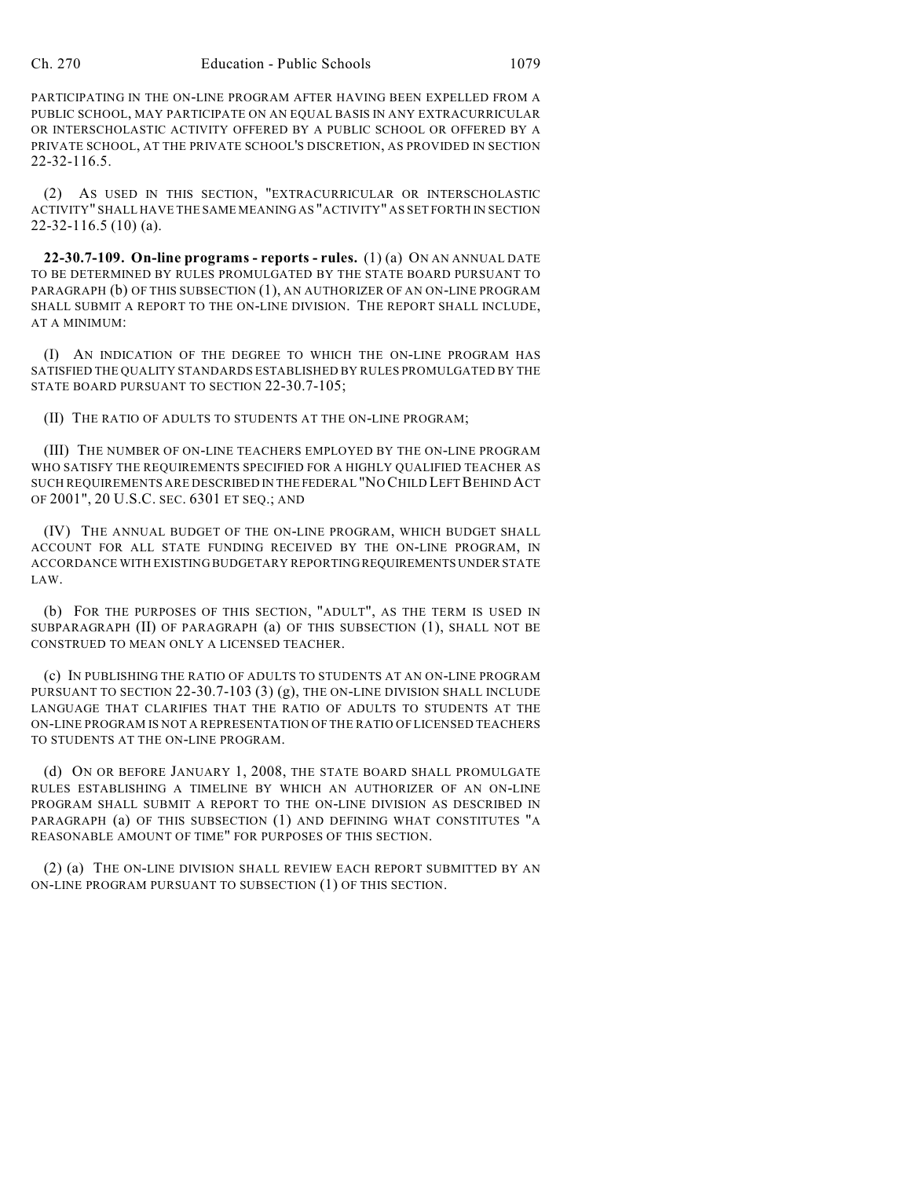PARTICIPATING IN THE ON-LINE PROGRAM AFTER HAVING BEEN EXPELLED FROM A PUBLIC SCHOOL, MAY PARTICIPATE ON AN EQUAL BASIS IN ANY EXTRACURRICULAR OR INTERSCHOLASTIC ACTIVITY OFFERED BY A PUBLIC SCHOOL OR OFFERED BY A PRIVATE SCHOOL, AT THE PRIVATE SCHOOL'S DISCRETION, AS PROVIDED IN SECTION 22-32-116.5.

(2) AS USED IN THIS SECTION, "EXTRACURRICULAR OR INTERSCHOLASTIC ACTIVITY" SHALL HAVE THE SAME MEANING AS "ACTIVITY" AS SET FORTH IN SECTION 22-32-116.5 (10) (a).

**22-30.7-109. On-line programs - reports - rules.** (1) (a) ON AN ANNUAL DATE TO BE DETERMINED BY RULES PROMULGATED BY THE STATE BOARD PURSUANT TO PARAGRAPH (b) OF THIS SUBSECTION (1), AN AUTHORIZER OF AN ON-LINE PROGRAM SHALL SUBMIT A REPORT TO THE ON-LINE DIVISION. THE REPORT SHALL INCLUDE, AT A MINIMUM:

(I) AN INDICATION OF THE DEGREE TO WHICH THE ON-LINE PROGRAM HAS SATISFIED THE QUALITY STANDARDS ESTABLISHED BY RULES PROMULGATED BY THE STATE BOARD PURSUANT TO SECTION 22-30.7-105;

(II) THE RATIO OF ADULTS TO STUDENTS AT THE ON-LINE PROGRAM;

(III) THE NUMBER OF ON-LINE TEACHERS EMPLOYED BY THE ON-LINE PROGRAM WHO SATISFY THE REQUIREMENTS SPECIFIED FOR A HIGHLY QUALIFIED TEACHER AS SUCH REQUIREMENTS ARE DESCRIBED IN THE FEDERAL "NO CHILD LEFT BEHIND ACT OF 2001", 20 U.S.C. SEC. 6301 ET SEQ.; AND

(IV) THE ANNUAL BUDGET OF THE ON-LINE PROGRAM, WHICH BUDGET SHALL ACCOUNT FOR ALL STATE FUNDING RECEIVED BY THE ON-LINE PROGRAM, IN ACCORDANCE WITH EXISTING BUDGETARY REPORTING REQUIREMENTS UNDER STATE LAW.

(b) FOR THE PURPOSES OF THIS SECTION, "ADULT", AS THE TERM IS USED IN SUBPARAGRAPH (II) OF PARAGRAPH (a) OF THIS SUBSECTION (1), SHALL NOT BE CONSTRUED TO MEAN ONLY A LICENSED TEACHER.

(c) IN PUBLISHING THE RATIO OF ADULTS TO STUDENTS AT AN ON-LINE PROGRAM PURSUANT TO SECTION  $22-30.7-103$  (3) (g), THE ON-LINE DIVISION SHALL INCLUDE LANGUAGE THAT CLARIFIES THAT THE RATIO OF ADULTS TO STUDENTS AT THE ON-LINE PROGRAM IS NOT A REPRESENTATION OF THE RATIO OF LICENSED TEACHERS TO STUDENTS AT THE ON-LINE PROGRAM.

(d) ON OR BEFORE JANUARY 1, 2008, THE STATE BOARD SHALL PROMULGATE RULES ESTABLISHING A TIMELINE BY WHICH AN AUTHORIZER OF AN ON-LINE PROGRAM SHALL SUBMIT A REPORT TO THE ON-LINE DIVISION AS DESCRIBED IN PARAGRAPH (a) OF THIS SUBSECTION (1) AND DEFINING WHAT CONSTITUTES "A REASONABLE AMOUNT OF TIME" FOR PURPOSES OF THIS SECTION.

(2) (a) THE ON-LINE DIVISION SHALL REVIEW EACH REPORT SUBMITTED BY AN ON-LINE PROGRAM PURSUANT TO SUBSECTION (1) OF THIS SECTION.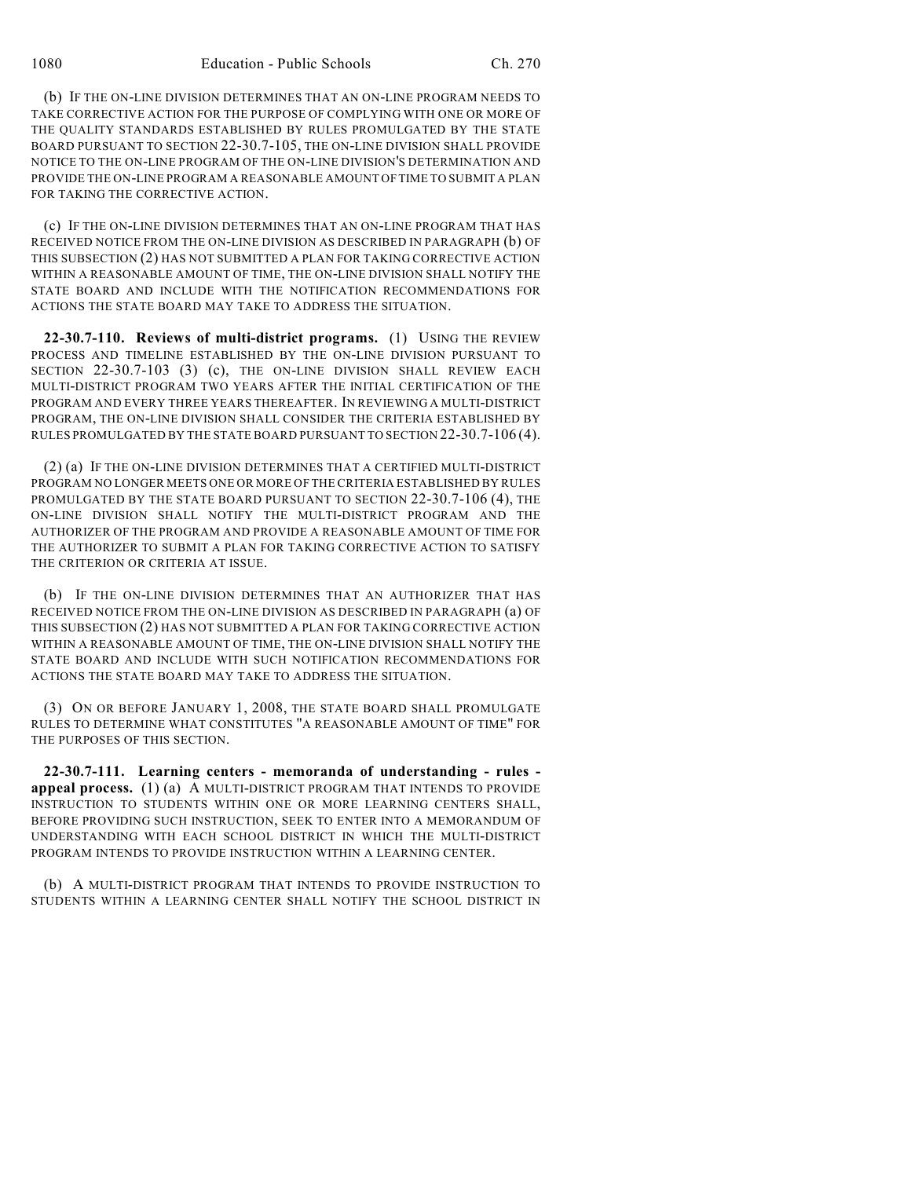(b) IF THE ON-LINE DIVISION DETERMINES THAT AN ON-LINE PROGRAM NEEDS TO TAKE CORRECTIVE ACTION FOR THE PURPOSE OF COMPLYING WITH ONE OR MORE OF THE QUALITY STANDARDS ESTABLISHED BY RULES PROMULGATED BY THE STATE BOARD PURSUANT TO SECTION 22-30.7-105, THE ON-LINE DIVISION SHALL PROVIDE NOTICE TO THE ON-LINE PROGRAM OF THE ON-LINE DIVISION'S DETERMINATION AND PROVIDE THE ON-LINE PROGRAM A REASONABLE AMOUNT OF TIME TO SUBMIT A PLAN FOR TAKING THE CORRECTIVE ACTION.

(c) IF THE ON-LINE DIVISION DETERMINES THAT AN ON-LINE PROGRAM THAT HAS RECEIVED NOTICE FROM THE ON-LINE DIVISION AS DESCRIBED IN PARAGRAPH (b) OF THIS SUBSECTION (2) HAS NOT SUBMITTED A PLAN FOR TAKING CORRECTIVE ACTION WITHIN A REASONABLE AMOUNT OF TIME, THE ON-LINE DIVISION SHALL NOTIFY THE STATE BOARD AND INCLUDE WITH THE NOTIFICATION RECOMMENDATIONS FOR ACTIONS THE STATE BOARD MAY TAKE TO ADDRESS THE SITUATION.

**22-30.7-110. Reviews of multi-district programs.** (1) USING THE REVIEW PROCESS AND TIMELINE ESTABLISHED BY THE ON-LINE DIVISION PURSUANT TO SECTION 22-30.7-103 (3) (c), THE ON-LINE DIVISION SHALL REVIEW EACH MULTI-DISTRICT PROGRAM TWO YEARS AFTER THE INITIAL CERTIFICATION OF THE PROGRAM AND EVERY THREE YEARS THEREAFTER. IN REVIEWING A MULTI-DISTRICT PROGRAM, THE ON-LINE DIVISION SHALL CONSIDER THE CRITERIA ESTABLISHED BY RULES PROMULGATED BY THE STATE BOARD PURSUANT TO SECTION 22-30.7-106 (4).

(2) (a) IF THE ON-LINE DIVISION DETERMINES THAT A CERTIFIED MULTI-DISTRICT PROGRAM NO LONGER MEETS ONE OR MORE OF THE CRITERIA ESTABLISHED BY RULES PROMULGATED BY THE STATE BOARD PURSUANT TO SECTION 22-30.7-106 (4), THE ON-LINE DIVISION SHALL NOTIFY THE MULTI-DISTRICT PROGRAM AND THE AUTHORIZER OF THE PROGRAM AND PROVIDE A REASONABLE AMOUNT OF TIME FOR THE AUTHORIZER TO SUBMIT A PLAN FOR TAKING CORRECTIVE ACTION TO SATISFY THE CRITERION OR CRITERIA AT ISSUE.

(b) IF THE ON-LINE DIVISION DETERMINES THAT AN AUTHORIZER THAT HAS RECEIVED NOTICE FROM THE ON-LINE DIVISION AS DESCRIBED IN PARAGRAPH (a) OF THIS SUBSECTION (2) HAS NOT SUBMITTED A PLAN FOR TAKING CORRECTIVE ACTION WITHIN A REASONABLE AMOUNT OF TIME, THE ON-LINE DIVISION SHALL NOTIFY THE STATE BOARD AND INCLUDE WITH SUCH NOTIFICATION RECOMMENDATIONS FOR ACTIONS THE STATE BOARD MAY TAKE TO ADDRESS THE SITUATION.

(3) ON OR BEFORE JANUARY 1, 2008, THE STATE BOARD SHALL PROMULGATE RULES TO DETERMINE WHAT CONSTITUTES "A REASONABLE AMOUNT OF TIME" FOR THE PURPOSES OF THIS SECTION.

**22-30.7-111. Learning centers - memoranda of understanding - rules appeal process.** (1) (a) A MULTI-DISTRICT PROGRAM THAT INTENDS TO PROVIDE INSTRUCTION TO STUDENTS WITHIN ONE OR MORE LEARNING CENTERS SHALL, BEFORE PROVIDING SUCH INSTRUCTION, SEEK TO ENTER INTO A MEMORANDUM OF UNDERSTANDING WITH EACH SCHOOL DISTRICT IN WHICH THE MULTI-DISTRICT PROGRAM INTENDS TO PROVIDE INSTRUCTION WITHIN A LEARNING CENTER.

(b) A MULTI-DISTRICT PROGRAM THAT INTENDS TO PROVIDE INSTRUCTION TO STUDENTS WITHIN A LEARNING CENTER SHALL NOTIFY THE SCHOOL DISTRICT IN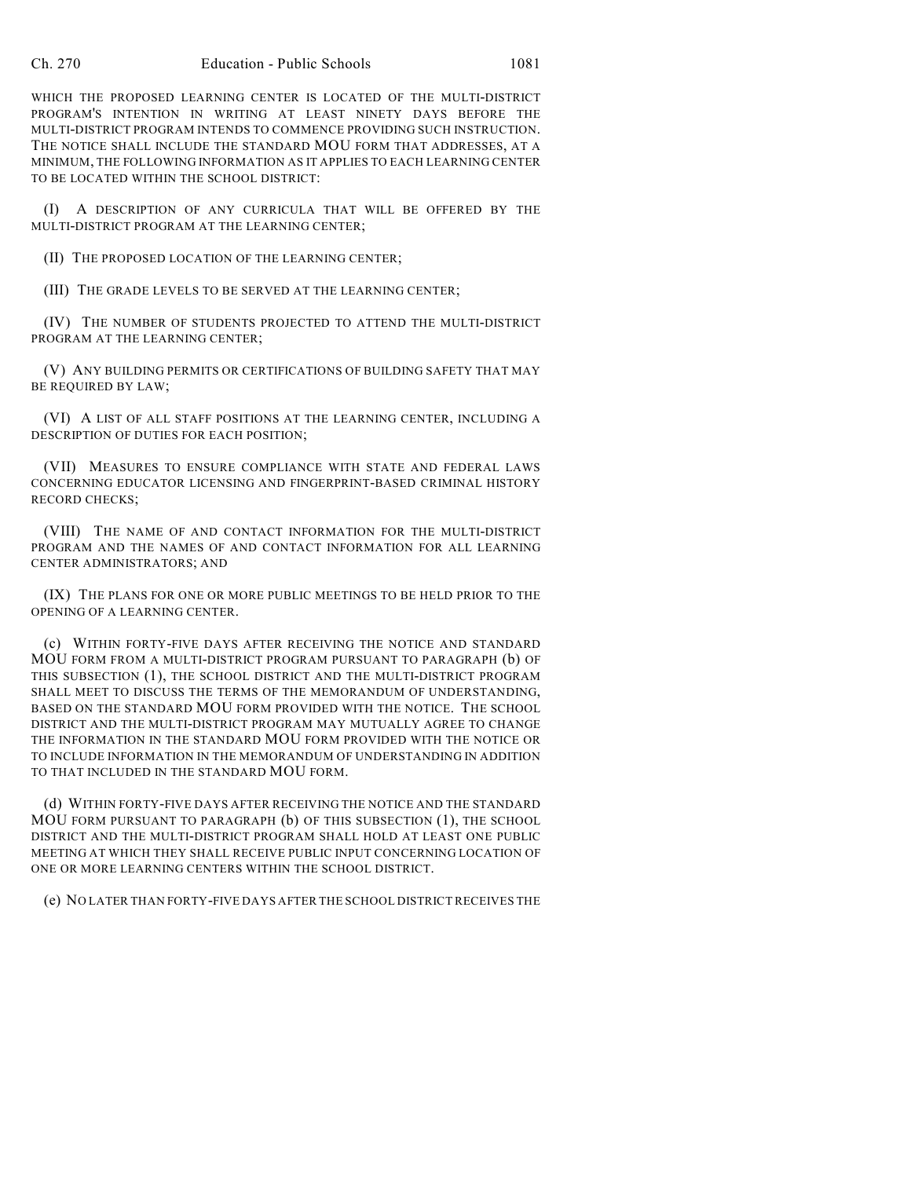WHICH THE PROPOSED LEARNING CENTER IS LOCATED OF THE MULTI-DISTRICT PROGRAM'S INTENTION IN WRITING AT LEAST NINETY DAYS BEFORE THE MULTI-DISTRICT PROGRAM INTENDS TO COMMENCE PROVIDING SUCH INSTRUCTION. THE NOTICE SHALL INCLUDE THE STANDARD MOU FORM THAT ADDRESSES, AT A MINIMUM, THE FOLLOWING INFORMATION AS IT APPLIES TO EACH LEARNING CENTER TO BE LOCATED WITHIN THE SCHOOL DISTRICT:

(I) A DESCRIPTION OF ANY CURRICULA THAT WILL BE OFFERED BY THE MULTI-DISTRICT PROGRAM AT THE LEARNING CENTER;

(II) THE PROPOSED LOCATION OF THE LEARNING CENTER;

(III) THE GRADE LEVELS TO BE SERVED AT THE LEARNING CENTER;

(IV) THE NUMBER OF STUDENTS PROJECTED TO ATTEND THE MULTI-DISTRICT PROGRAM AT THE LEARNING CENTER;

(V) ANY BUILDING PERMITS OR CERTIFICATIONS OF BUILDING SAFETY THAT MAY BE REQUIRED BY LAW;

(VI) A LIST OF ALL STAFF POSITIONS AT THE LEARNING CENTER, INCLUDING A DESCRIPTION OF DUTIES FOR EACH POSITION;

(VII) MEASURES TO ENSURE COMPLIANCE WITH STATE AND FEDERAL LAWS CONCERNING EDUCATOR LICENSING AND FINGERPRINT-BASED CRIMINAL HISTORY RECORD CHECKS;

(VIII) THE NAME OF AND CONTACT INFORMATION FOR THE MULTI-DISTRICT PROGRAM AND THE NAMES OF AND CONTACT INFORMATION FOR ALL LEARNING CENTER ADMINISTRATORS; AND

(IX) THE PLANS FOR ONE OR MORE PUBLIC MEETINGS TO BE HELD PRIOR TO THE OPENING OF A LEARNING CENTER.

(c) WITHIN FORTY-FIVE DAYS AFTER RECEIVING THE NOTICE AND STANDARD MOU FORM FROM A MULTI-DISTRICT PROGRAM PURSUANT TO PARAGRAPH (b) OF THIS SUBSECTION (1), THE SCHOOL DISTRICT AND THE MULTI-DISTRICT PROGRAM SHALL MEET TO DISCUSS THE TERMS OF THE MEMORANDUM OF UNDERSTANDING, BASED ON THE STANDARD MOU FORM PROVIDED WITH THE NOTICE. THE SCHOOL DISTRICT AND THE MULTI-DISTRICT PROGRAM MAY MUTUALLY AGREE TO CHANGE THE INFORMATION IN THE STANDARD MOU FORM PROVIDED WITH THE NOTICE OR TO INCLUDE INFORMATION IN THE MEMORANDUM OF UNDERSTANDING IN ADDITION TO THAT INCLUDED IN THE STANDARD MOU FORM.

(d) WITHIN FORTY-FIVE DAYS AFTER RECEIVING THE NOTICE AND THE STANDARD MOU FORM PURSUANT TO PARAGRAPH (b) OF THIS SUBSECTION (1), THE SCHOOL DISTRICT AND THE MULTI-DISTRICT PROGRAM SHALL HOLD AT LEAST ONE PUBLIC MEETING AT WHICH THEY SHALL RECEIVE PUBLIC INPUT CONCERNING LOCATION OF ONE OR MORE LEARNING CENTERS WITHIN THE SCHOOL DISTRICT.

(e) NO LATER THAN FORTY-FIVE DAYS AFTER THE SCHOOL DISTRICT RECEIVES THE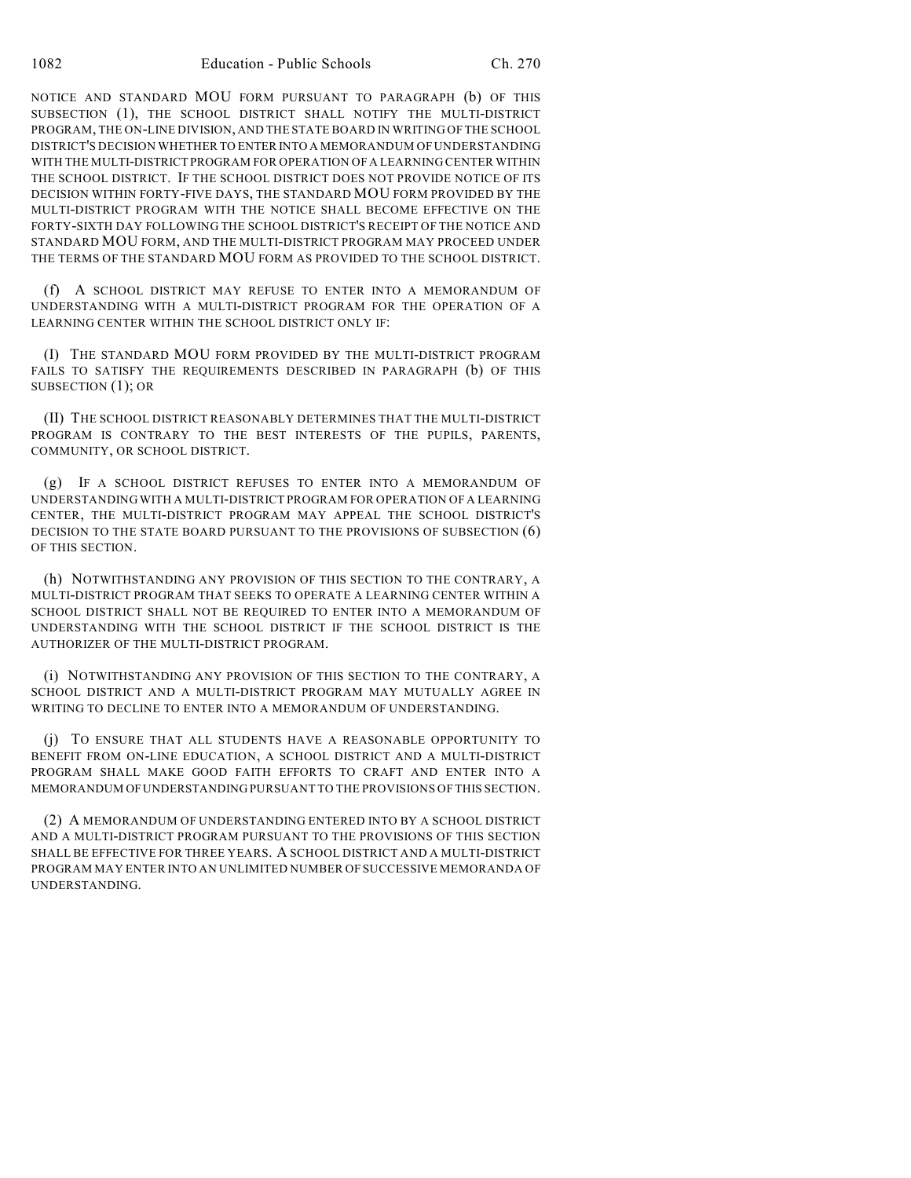NOTICE AND STANDARD MOU FORM PURSUANT TO PARAGRAPH (b) OF THIS SUBSECTION (1), THE SCHOOL DISTRICT SHALL NOTIFY THE MULTI-DISTRICT PROGRAM, THE ON-LINE DIVISION, AND THE STATE BOARD IN WRITING OF THE SCHOOL DISTRICT'S DECISION WHETHER TO ENTER INTO A MEMORANDUM OF UNDERSTANDING WITH THE MULTI-DISTRICT PROGRAM FOR OPERATION OF A LEARNING CENTER WITHIN THE SCHOOL DISTRICT. IF THE SCHOOL DISTRICT DOES NOT PROVIDE NOTICE OF ITS DECISION WITHIN FORTY-FIVE DAYS, THE STANDARD MOU FORM PROVIDED BY THE MULTI-DISTRICT PROGRAM WITH THE NOTICE SHALL BECOME EFFECTIVE ON THE FORTY-SIXTH DAY FOLLOWING THE SCHOOL DISTRICT'S RECEIPT OF THE NOTICE AND STANDARD MOU FORM, AND THE MULTI-DISTRICT PROGRAM MAY PROCEED UNDER THE TERMS OF THE STANDARD MOU FORM AS PROVIDED TO THE SCHOOL DISTRICT.

(f) A SCHOOL DISTRICT MAY REFUSE TO ENTER INTO A MEMORANDUM OF UNDERSTANDING WITH A MULTI-DISTRICT PROGRAM FOR THE OPERATION OF A LEARNING CENTER WITHIN THE SCHOOL DISTRICT ONLY IF:

(I) THE STANDARD MOU FORM PROVIDED BY THE MULTI-DISTRICT PROGRAM FAILS TO SATISFY THE REQUIREMENTS DESCRIBED IN PARAGRAPH (b) OF THIS SUBSECTION (1); OR

(II) THE SCHOOL DISTRICT REASONABLY DETERMINES THAT THE MULTI-DISTRICT PROGRAM IS CONTRARY TO THE BEST INTERESTS OF THE PUPILS, PARENTS, COMMUNITY, OR SCHOOL DISTRICT.

(g) IF A SCHOOL DISTRICT REFUSES TO ENTER INTO A MEMORANDUM OF UNDERSTANDING WITH A MULTI-DISTRICT PROGRAM FOR OPERATION OF A LEARNING CENTER, THE MULTI-DISTRICT PROGRAM MAY APPEAL THE SCHOOL DISTRICT'S DECISION TO THE STATE BOARD PURSUANT TO THE PROVISIONS OF SUBSECTION (6) OF THIS SECTION.

(h) NOTWITHSTANDING ANY PROVISION OF THIS SECTION TO THE CONTRARY, A MULTI-DISTRICT PROGRAM THAT SEEKS TO OPERATE A LEARNING CENTER WITHIN A SCHOOL DISTRICT SHALL NOT BE REQUIRED TO ENTER INTO A MEMORANDUM OF UNDERSTANDING WITH THE SCHOOL DISTRICT IF THE SCHOOL DISTRICT IS THE AUTHORIZER OF THE MULTI-DISTRICT PROGRAM.

(i) NOTWITHSTANDING ANY PROVISION OF THIS SECTION TO THE CONTRARY, A SCHOOL DISTRICT AND A MULTI-DISTRICT PROGRAM MAY MUTUALLY AGREE IN WRITING TO DECLINE TO ENTER INTO A MEMORANDUM OF UNDERSTANDING.

(j) TO ENSURE THAT ALL STUDENTS HAVE A REASONABLE OPPORTUNITY TO BENEFIT FROM ON-LINE EDUCATION, A SCHOOL DISTRICT AND A MULTI-DISTRICT PROGRAM SHALL MAKE GOOD FAITH EFFORTS TO CRAFT AND ENTER INTO A MEMORANDUM OF UNDERSTANDING PURSUANT TO THE PROVISIONS OF THIS SECTION.

(2) A MEMORANDUM OF UNDERSTANDING ENTERED INTO BY A SCHOOL DISTRICT AND A MULTI-DISTRICT PROGRAM PURSUANT TO THE PROVISIONS OF THIS SECTION SHALL BE EFFECTIVE FOR THREE YEARS. A SCHOOL DISTRICT AND A MULTI-DISTRICT PROGRAM MAY ENTER INTO AN UNLIMITED NUMBER OF SUCCESSIVE MEMORANDA OF UNDERSTANDING.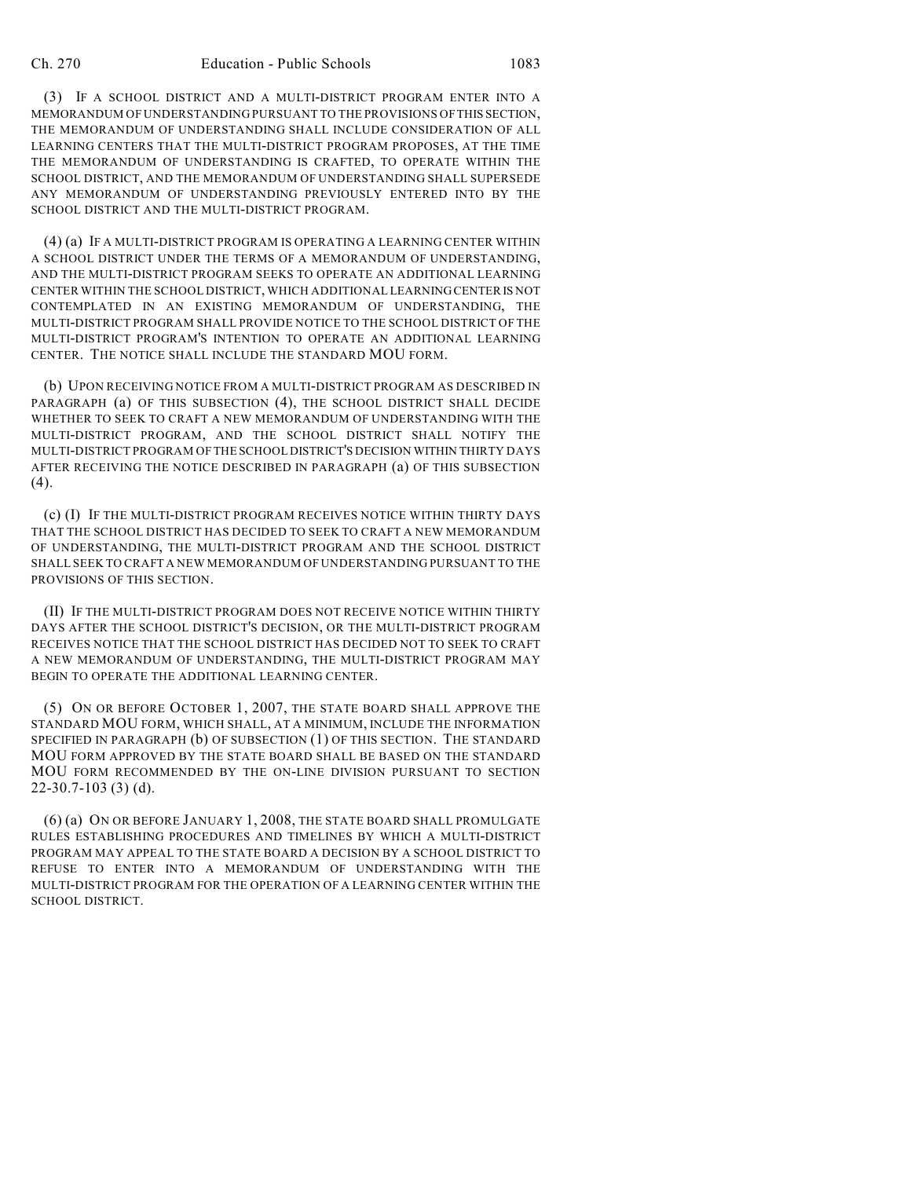(3) IF A SCHOOL DISTRICT AND A MULTI-DISTRICT PROGRAM ENTER INTO A MEMORANDUM OF UNDERSTANDING PURSUANT TO THE PROVISIONS OF THIS SECTION, THE MEMORANDUM OF UNDERSTANDING SHALL INCLUDE CONSIDERATION OF ALL LEARNING CENTERS THAT THE MULTI-DISTRICT PROGRAM PROPOSES, AT THE TIME THE MEMORANDUM OF UNDERSTANDING IS CRAFTED, TO OPERATE WITHIN THE SCHOOL DISTRICT, AND THE MEMORANDUM OF UNDERSTANDING SHALL SUPERSEDE ANY MEMORANDUM OF UNDERSTANDING PREVIOUSLY ENTERED INTO BY THE SCHOOL DISTRICT AND THE MULTI-DISTRICT PROGRAM.

(4) (a) IF A MULTI-DISTRICT PROGRAM IS OPERATING A LEARNING CENTER WITHIN A SCHOOL DISTRICT UNDER THE TERMS OF A MEMORANDUM OF UNDERSTANDING, AND THE MULTI-DISTRICT PROGRAM SEEKS TO OPERATE AN ADDITIONAL LEARNING CENTER WITHIN THE SCHOOL DISTRICT, WHICH ADDITIONAL LEARNING CENTER IS NOT CONTEMPLATED IN AN EXISTING MEMORANDUM OF UNDERSTANDING, THE MULTI-DISTRICT PROGRAM SHALL PROVIDE NOTICE TO THE SCHOOL DISTRICT OF THE MULTI-DISTRICT PROGRAM'S INTENTION TO OPERATE AN ADDITIONAL LEARNING CENTER. THE NOTICE SHALL INCLUDE THE STANDARD MOU FORM.

(b) UPON RECEIVING NOTICE FROM A MULTI-DISTRICT PROGRAM AS DESCRIBED IN PARAGRAPH (a) OF THIS SUBSECTION (4), THE SCHOOL DISTRICT SHALL DECIDE WHETHER TO SEEK TO CRAFT A NEW MEMORANDUM OF UNDERSTANDING WITH THE MULTI-DISTRICT PROGRAM, AND THE SCHOOL DISTRICT SHALL NOTIFY THE MULTI-DISTRICT PROGRAM OF THE SCHOOL DISTRICT'S DECISION WITHIN THIRTY DAYS AFTER RECEIVING THE NOTICE DESCRIBED IN PARAGRAPH (a) OF THIS SUBSECTION (4).

(c) (I) IF THE MULTI-DISTRICT PROGRAM RECEIVES NOTICE WITHIN THIRTY DAYS THAT THE SCHOOL DISTRICT HAS DECIDED TO SEEK TO CRAFT A NEW MEMORANDUM OF UNDERSTANDING, THE MULTI-DISTRICT PROGRAM AND THE SCHOOL DISTRICT SHALL SEEK TO CRAFT A NEW MEMORANDUM OF UNDERSTANDING PURSUANT TO THE PROVISIONS OF THIS SECTION.

(II) IF THE MULTI-DISTRICT PROGRAM DOES NOT RECEIVE NOTICE WITHIN THIRTY DAYS AFTER THE SCHOOL DISTRICT'S DECISION, OR THE MULTI-DISTRICT PROGRAM RECEIVES NOTICE THAT THE SCHOOL DISTRICT HAS DECIDED NOT TO SEEK TO CRAFT A NEW MEMORANDUM OF UNDERSTANDING, THE MULTI-DISTRICT PROGRAM MAY BEGIN TO OPERATE THE ADDITIONAL LEARNING CENTER.

(5) ON OR BEFORE OCTOBER 1, 2007, THE STATE BOARD SHALL APPROVE THE STANDARD MOU FORM, WHICH SHALL, AT A MINIMUM, INCLUDE THE INFORMATION SPECIFIED IN PARAGRAPH (b) OF SUBSECTION (1) OF THIS SECTION. THE STANDARD MOU FORM APPROVED BY THE STATE BOARD SHALL BE BASED ON THE STANDARD MOU FORM RECOMMENDED BY THE ON-LINE DIVISION PURSUANT TO SECTION 22-30.7-103 (3) (d).

(6) (a) ON OR BEFORE JANUARY 1, 2008, THE STATE BOARD SHALL PROMULGATE RULES ESTABLISHING PROCEDURES AND TIMELINES BY WHICH A MULTI-DISTRICT PROGRAM MAY APPEAL TO THE STATE BOARD A DECISION BY A SCHOOL DISTRICT TO REFUSE TO ENTER INTO A MEMORANDUM OF UNDERSTANDING WITH THE MULTI-DISTRICT PROGRAM FOR THE OPERATION OF A LEARNING CENTER WITHIN THE SCHOOL DISTRICT.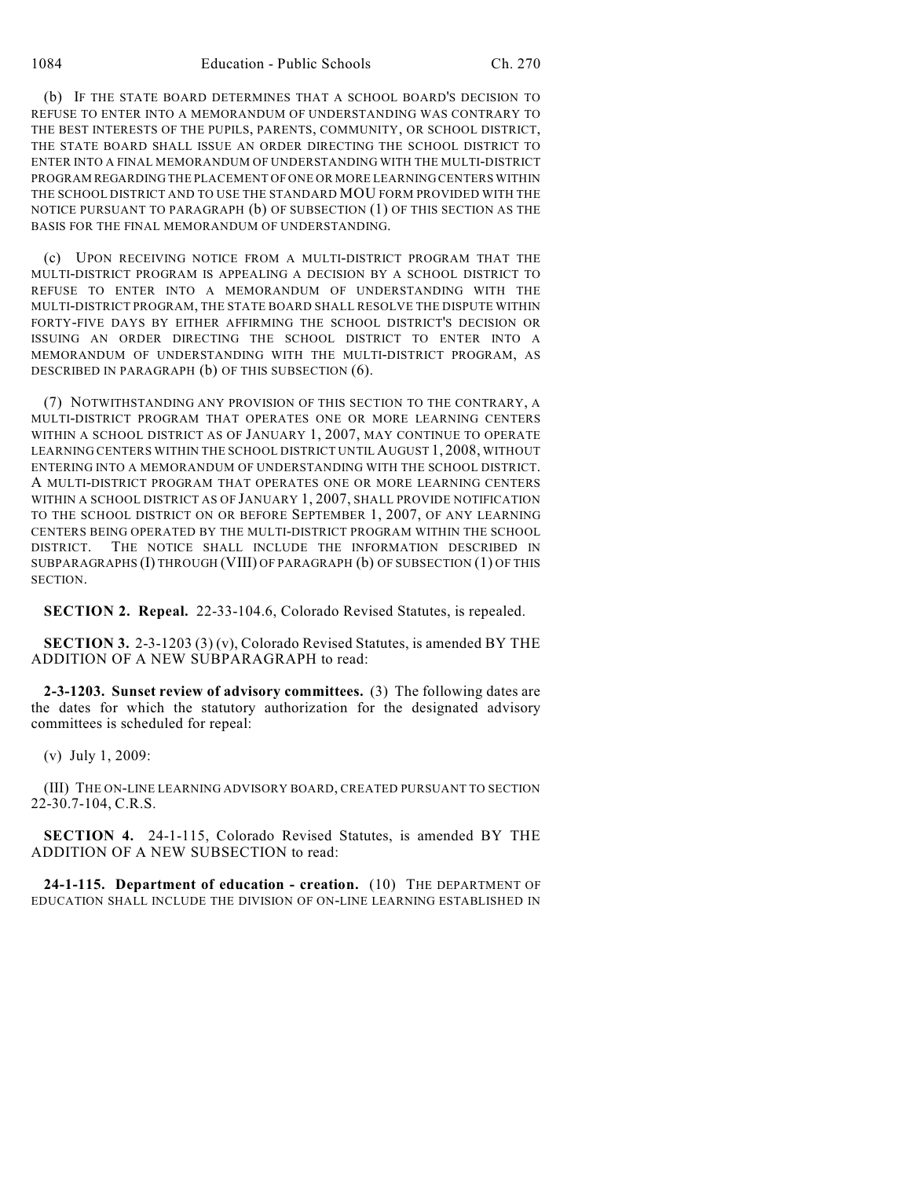(b) IF THE STATE BOARD DETERMINES THAT A SCHOOL BOARD'S DECISION TO REFUSE TO ENTER INTO A MEMORANDUM OF UNDERSTANDING WAS CONTRARY TO THE BEST INTERESTS OF THE PUPILS, PARENTS, COMMUNITY, OR SCHOOL DISTRICT, THE STATE BOARD SHALL ISSUE AN ORDER DIRECTING THE SCHOOL DISTRICT TO ENTER INTO A FINAL MEMORANDUM OF UNDERSTANDING WITH THE MULTI-DISTRICT PROGRAM REGARDING THE PLACEMENT OF ONE OR MORE LEARNING CENTERS WITHIN THE SCHOOL DISTRICT AND TO USE THE STANDARD MOU FORM PROVIDED WITH THE NOTICE PURSUANT TO PARAGRAPH (b) OF SUBSECTION (1) OF THIS SECTION AS THE BASIS FOR THE FINAL MEMORANDUM OF UNDERSTANDING.

(c) UPON RECEIVING NOTICE FROM A MULTI-DISTRICT PROGRAM THAT THE MULTI-DISTRICT PROGRAM IS APPEALING A DECISION BY A SCHOOL DISTRICT TO REFUSE TO ENTER INTO A MEMORANDUM OF UNDERSTANDING WITH THE MULTI-DISTRICT PROGRAM, THE STATE BOARD SHALL RESOLVE THE DISPUTE WITHIN FORTY-FIVE DAYS BY EITHER AFFIRMING THE SCHOOL DISTRICT'S DECISION OR ISSUING AN ORDER DIRECTING THE SCHOOL DISTRICT TO ENTER INTO A MEMORANDUM OF UNDERSTANDING WITH THE MULTI-DISTRICT PROGRAM, AS DESCRIBED IN PARAGRAPH (b) OF THIS SUBSECTION (6).

(7) NOTWITHSTANDING ANY PROVISION OF THIS SECTION TO THE CONTRARY, A MULTI-DISTRICT PROGRAM THAT OPERATES ONE OR MORE LEARNING CENTERS WITHIN A SCHOOL DISTRICT AS OF JANUARY 1, 2007, MAY CONTINUE TO OPERATE LEARNING CENTERS WITHIN THE SCHOOL DISTRICT UNTIL AUGUST 1, 2008, WITHOUT ENTERING INTO A MEMORANDUM OF UNDERSTANDING WITH THE SCHOOL DISTRICT. A MULTI-DISTRICT PROGRAM THAT OPERATES ONE OR MORE LEARNING CENTERS WITHIN A SCHOOL DISTRICT AS OF JANUARY 1, 2007, SHALL PROVIDE NOTIFICATION TO THE SCHOOL DISTRICT ON OR BEFORE SEPTEMBER 1, 2007, OF ANY LEARNING CENTERS BEING OPERATED BY THE MULTI-DISTRICT PROGRAM WITHIN THE SCHOOL DISTRICT. THE NOTICE SHALL INCLUDE THE INFORMATION DESCRIBED IN SUBPARAGRAPHS (I) THROUGH (VIII) OF PARAGRAPH (b) OF SUBSECTION (1) OF THIS **SECTION** 

**SECTION 2. Repeal.** 22-33-104.6, Colorado Revised Statutes, is repealed.

**SECTION 3.** 2-3-1203 (3) (v), Colorado Revised Statutes, is amended BY THE ADDITION OF A NEW SUBPARAGRAPH to read:

**2-3-1203. Sunset review of advisory committees.** (3) The following dates are the dates for which the statutory authorization for the designated advisory committees is scheduled for repeal:

(v) July 1, 2009:

(III) THE ON-LINE LEARNING ADVISORY BOARD, CREATED PURSUANT TO SECTION 22-30.7-104, C.R.S.

**SECTION 4.** 24-1-115, Colorado Revised Statutes, is amended BY THE ADDITION OF A NEW SUBSECTION to read:

**24-1-115. Department of education - creation.** (10) THE DEPARTMENT OF EDUCATION SHALL INCLUDE THE DIVISION OF ON-LINE LEARNING ESTABLISHED IN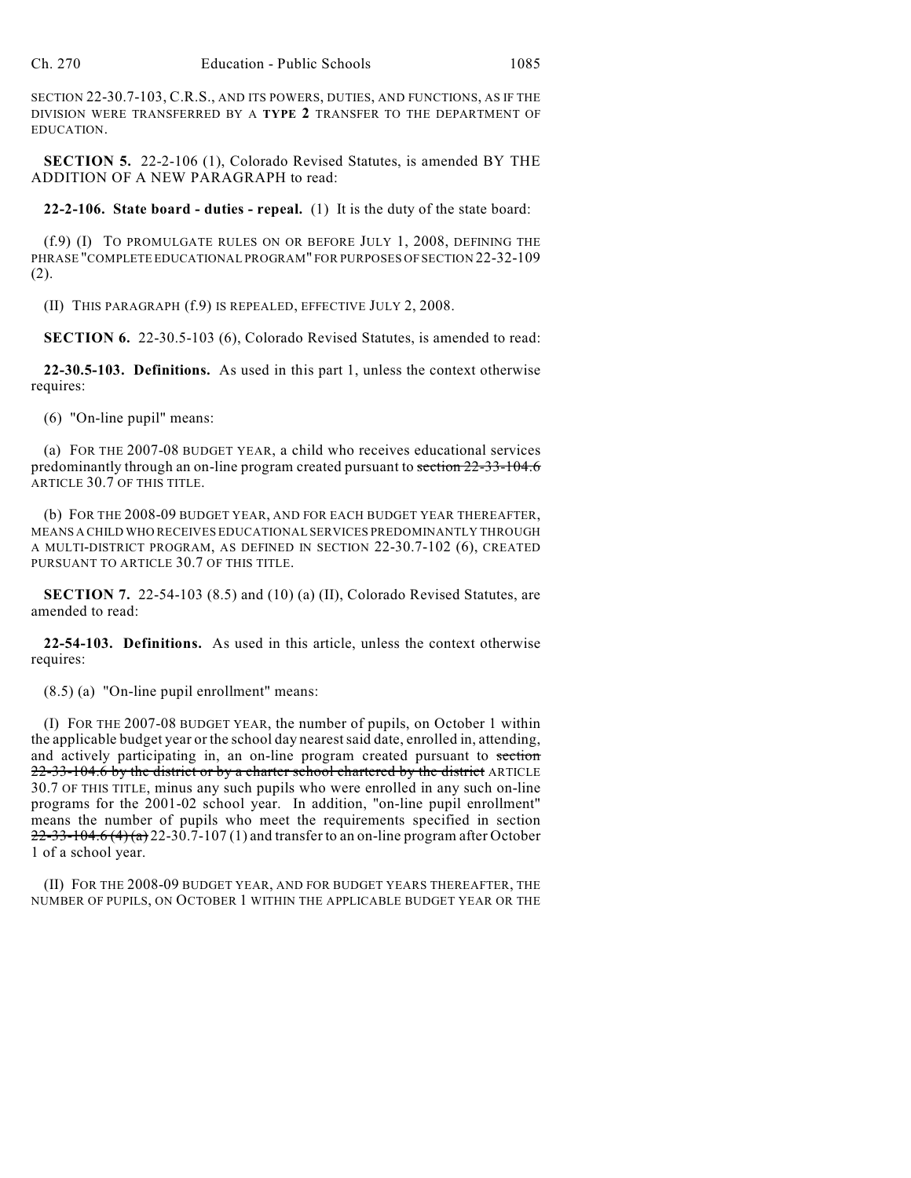SECTION 22-30.7-103, C.R.S., AND ITS POWERS, DUTIES, AND FUNCTIONS, AS IF THE DIVISION WERE TRANSFERRED BY A **TYPE 2** TRANSFER TO THE DEPARTMENT OF EDUCATION.

**SECTION 5.** 22-2-106 (1), Colorado Revised Statutes, is amended BY THE ADDITION OF A NEW PARAGRAPH to read:

**22-2-106. State board - duties - repeal.** (1) It is the duty of the state board:

(f.9) (I) TO PROMULGATE RULES ON OR BEFORE JULY 1, 2008, DEFINING THE PHRASE "COMPLETE EDUCATIONAL PROGRAM" FOR PURPOSES OF SECTION 22-32-109 (2).

(II) THIS PARAGRAPH (f.9) IS REPEALED, EFFECTIVE JULY 2, 2008.

**SECTION 6.** 22-30.5-103 (6), Colorado Revised Statutes, is amended to read:

**22-30.5-103. Definitions.** As used in this part 1, unless the context otherwise requires:

(6) "On-line pupil" means:

(a) FOR THE 2007-08 BUDGET YEAR, a child who receives educational services predominantly through an on-line program created pursuant to section 22-33-104.6 ARTICLE 30.7 OF THIS TITLE.

(b) FOR THE 2008-09 BUDGET YEAR, AND FOR EACH BUDGET YEAR THEREAFTER, MEANS A CHILD WHO RECEIVES EDUCATIONAL SERVICES PREDOMINANTLY THROUGH A MULTI-DISTRICT PROGRAM, AS DEFINED IN SECTION 22-30.7-102 (6), CREATED PURSUANT TO ARTICLE 30.7 OF THIS TITLE.

**SECTION 7.** 22-54-103 (8.5) and (10) (a) (II), Colorado Revised Statutes, are amended to read:

**22-54-103. Definitions.** As used in this article, unless the context otherwise requires:

(8.5) (a) "On-line pupil enrollment" means:

(I) FOR THE 2007-08 BUDGET YEAR, the number of pupils, on October 1 within the applicable budget year or the school day nearest said date, enrolled in, attending, and actively participating in, an on-line program created pursuant to section 22-33-104.6 by the district or by a charter school chartered by the district ARTICLE 30.7 OF THIS TITLE, minus any such pupils who were enrolled in any such on-line programs for the 2001-02 school year. In addition, "on-line pupil enrollment" means the number of pupils who meet the requirements specified in section  $22-33-104.6$  (4) (a) 22-30.7-107 (1) and transfer to an on-line program after October 1 of a school year.

(II) FOR THE 2008-09 BUDGET YEAR, AND FOR BUDGET YEARS THEREAFTER, THE NUMBER OF PUPILS, ON OCTOBER 1 WITHIN THE APPLICABLE BUDGET YEAR OR THE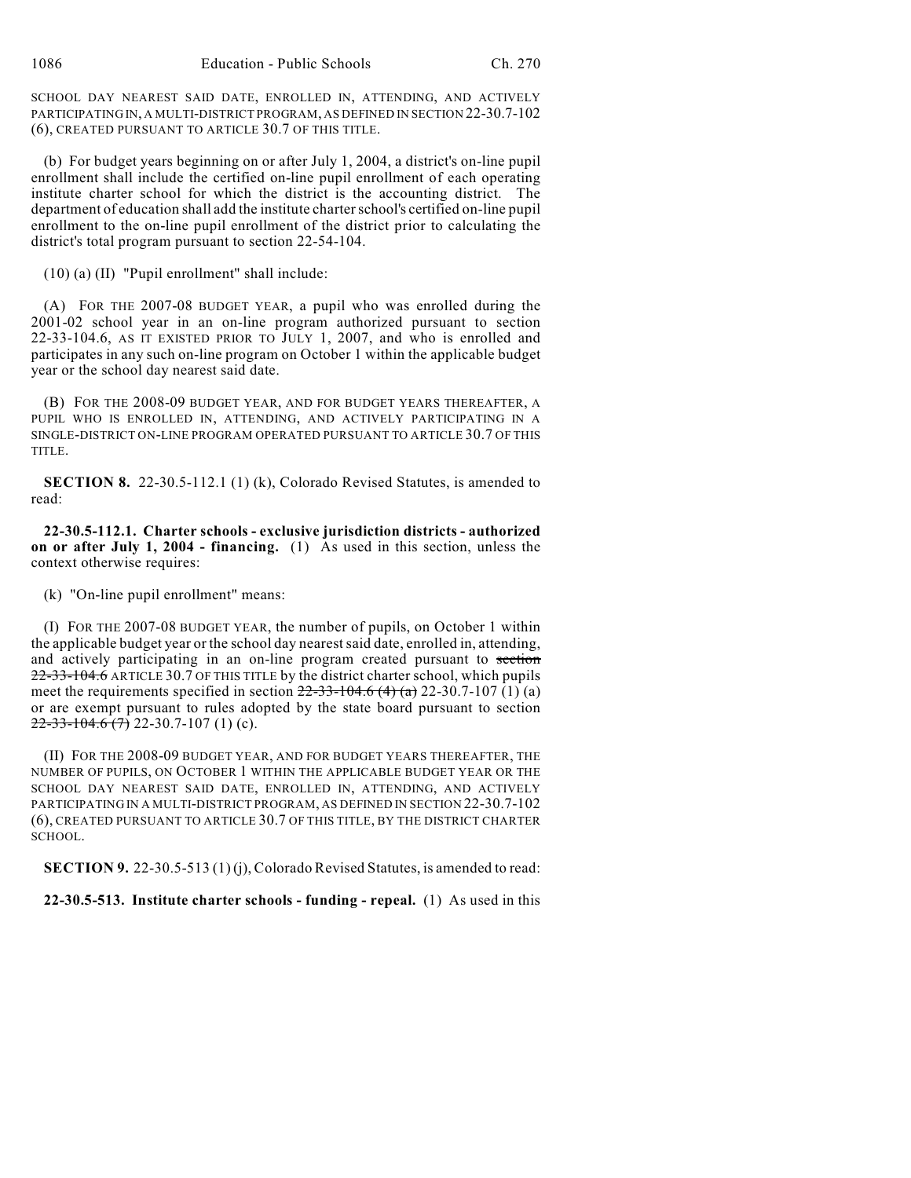SCHOOL DAY NEAREST SAID DATE, ENROLLED IN, ATTENDING, AND ACTIVELY PARTICIPATING IN, A MULTI-DISTRICT PROGRAM, AS DEFINED IN SECTION 22-30.7-102 (6), CREATED PURSUANT TO ARTICLE 30.7 OF THIS TITLE.

(b) For budget years beginning on or after July 1, 2004, a district's on-line pupil enrollment shall include the certified on-line pupil enrollment of each operating institute charter school for which the district is the accounting district. The department of education shall add the institute charter school's certified on-line pupil enrollment to the on-line pupil enrollment of the district prior to calculating the district's total program pursuant to section 22-54-104.

(10) (a) (II) "Pupil enrollment" shall include:

(A) FOR THE 2007-08 BUDGET YEAR, a pupil who was enrolled during the 2001-02 school year in an on-line program authorized pursuant to section 22-33-104.6, AS IT EXISTED PRIOR TO JULY 1, 2007, and who is enrolled and participates in any such on-line program on October 1 within the applicable budget year or the school day nearest said date.

(B) FOR THE 2008-09 BUDGET YEAR, AND FOR BUDGET YEARS THEREAFTER, A PUPIL WHO IS ENROLLED IN, ATTENDING, AND ACTIVELY PARTICIPATING IN A SINGLE-DISTRICT ON-LINE PROGRAM OPERATED PURSUANT TO ARTICLE 30.7 OF THIS TITLE.

**SECTION 8.** 22-30.5-112.1 (1) (k), Colorado Revised Statutes, is amended to read:

**22-30.5-112.1. Charter schools - exclusive jurisdiction districts - authorized on or after July 1, 2004 - financing.** (1) As used in this section, unless the context otherwise requires:

(k) "On-line pupil enrollment" means:

(I) FOR THE 2007-08 BUDGET YEAR, the number of pupils, on October 1 within the applicable budget year or the school day nearest said date, enrolled in, attending, and actively participating in an on-line program created pursuant to section 22-33-104.6 ARTICLE 30.7 OF THIS TITLE by the district charter school, which pupils meet the requirements specified in section  $22-33-104.6$  (4) (a) 22-30.7-107 (1) (a) or are exempt pursuant to rules adopted by the state board pursuant to section  $22-33-104.6$  (7) 22-30.7-107 (1) (c).

(II) FOR THE 2008-09 BUDGET YEAR, AND FOR BUDGET YEARS THEREAFTER, THE NUMBER OF PUPILS, ON OCTOBER 1 WITHIN THE APPLICABLE BUDGET YEAR OR THE SCHOOL DAY NEAREST SAID DATE, ENROLLED IN, ATTENDING, AND ACTIVELY PARTICIPATING IN A MULTI-DISTRICT PROGRAM, AS DEFINED IN SECTION 22-30.7-102 (6), CREATED PURSUANT TO ARTICLE 30.7 OF THIS TITLE, BY THE DISTRICT CHARTER SCHOOL.

**SECTION 9.** 22-30.5-513 (1) (j), Colorado Revised Statutes, is amended to read:

**22-30.5-513. Institute charter schools - funding - repeal.** (1) As used in this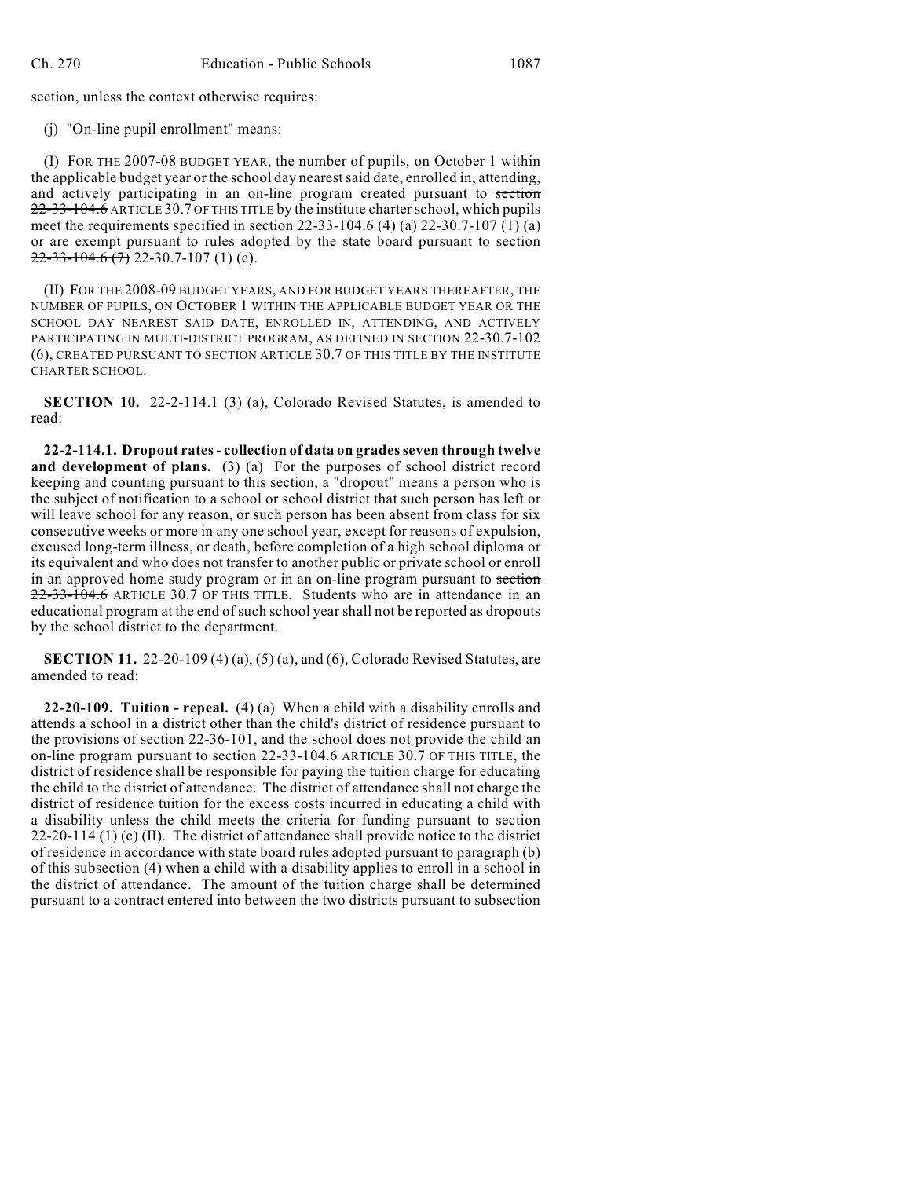section, unless the context otherwise requires:

(j) "On-line pupil enrollment" means:

(I) FOR THE 2007-08 BUDGET YEAR, the number of pupils, on October 1 within the applicable budget year or the school day nearest said date, enrolled in, attending, and actively participating in an on-line program created pursuant to section 22-33-104.6 ARTICLE 30.7 OF THIS TITLE by the institute charter school, which pupils meet the requirements specified in section  $22-33-104.6$  (4) (a) 22-30.7-107 (1) (a) or are exempt pursuant to rules adopted by the state board pursuant to section  $22-33-104.6$  (7) 22-30.7-107 (1) (c).

(II) FOR THE 2008-09 BUDGET YEARS, AND FOR BUDGET YEARS THEREAFTER, THE NUMBER OF PUPILS, ON OCTOBER 1 WITHIN THE APPLICABLE BUDGET YEAR OR THE SCHOOL DAY NEAREST SAID DATE, ENROLLED IN, ATTENDING, AND ACTIVELY PARTICIPATING IN MULTI-DISTRICT PROGRAM, AS DEFINED IN SECTION 22-30.7-102 (6), CREATED PURSUANT TO SECTION ARTICLE 30.7 OF THIS TITLE BY THE INSTITUTE CHARTER SCHOOL.

**SECTION 10.** 22-2-114.1 (3) (a), Colorado Revised Statutes, is amended to read:

**22-2-114.1. Dropout rates - collection of data on grades seven through twelve and development of plans.** (3) (a) For the purposes of school district record keeping and counting pursuant to this section, a "dropout" means a person who is the subject of notification to a school or school district that such person has left or will leave school for any reason, or such person has been absent from class for six consecutive weeks or more in any one school year, except for reasons of expulsion, excused long-term illness, or death, before completion of a high school diploma or its equivalent and who does not transfer to another public or private school or enroll in an approved home study program or in an on-line program pursuant to section 22-33-104.6 ARTICLE 30.7 OF THIS TITLE. Students who are in attendance in an educational program at the end of such school year shall not be reported as dropouts by the school district to the department.

**SECTION 11.** 22-20-109 (4) (a), (5) (a), and (6), Colorado Revised Statutes, are amended to read:

**22-20-109. Tuition - repeal.** (4) (a) When a child with a disability enrolls and attends a school in a district other than the child's district of residence pursuant to the provisions of section 22-36-101, and the school does not provide the child an on-line program pursuant to section 22-33-104.6 ARTICLE 30.7 OF THIS TITLE, the district of residence shall be responsible for paying the tuition charge for educating the child to the district of attendance. The district of attendance shall not charge the district of residence tuition for the excess costs incurred in educating a child with a disability unless the child meets the criteria for funding pursuant to section 22-20-114 (1) (c) (II). The district of attendance shall provide notice to the district of residence in accordance with state board rules adopted pursuant to paragraph (b) of this subsection (4) when a child with a disability applies to enroll in a school in the district of attendance. The amount of the tuition charge shall be determined pursuant to a contract entered into between the two districts pursuant to subsection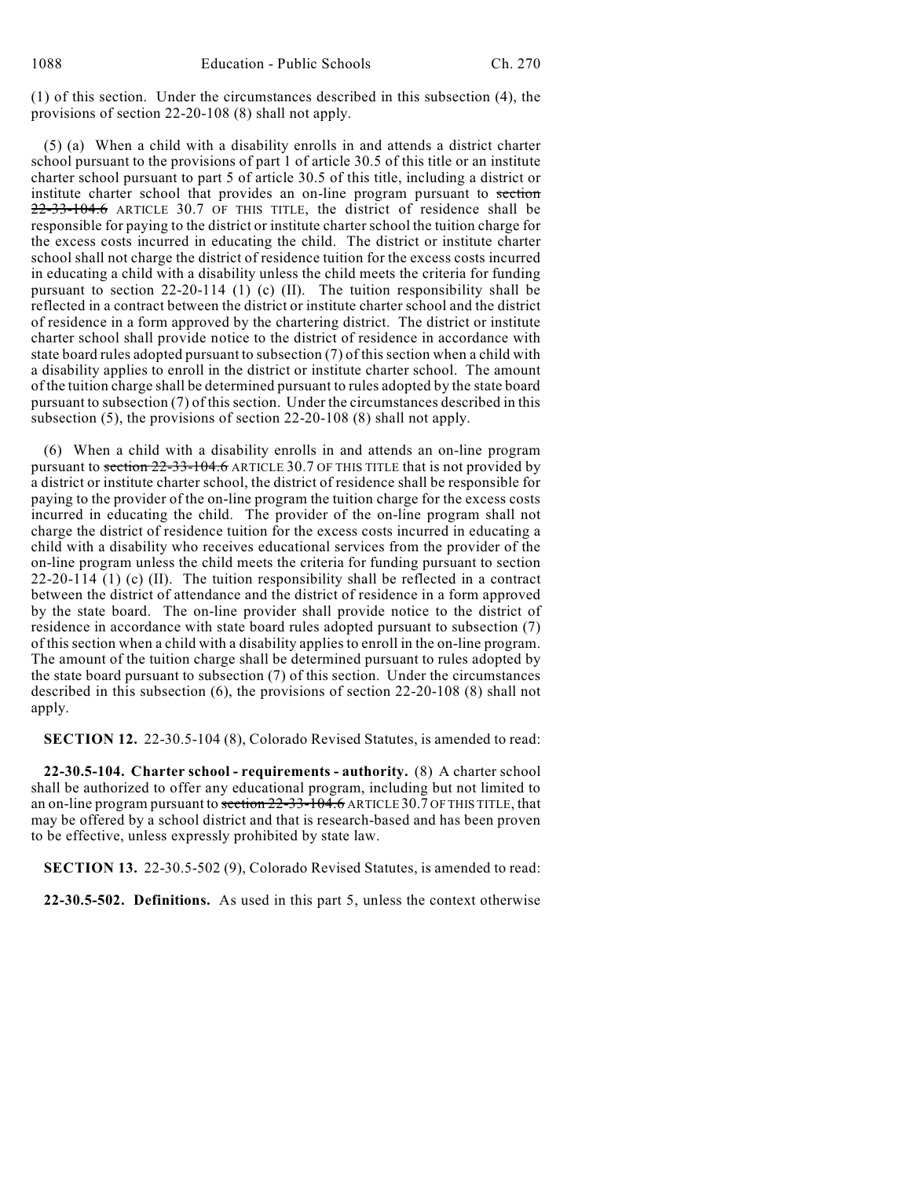(1) of this section. Under the circumstances described in this subsection (4), the provisions of section 22-20-108 (8) shall not apply.

(5) (a) When a child with a disability enrolls in and attends a district charter school pursuant to the provisions of part 1 of article 30.5 of this title or an institute charter school pursuant to part 5 of article 30.5 of this title, including a district or institute charter school that provides an on-line program pursuant to section 22-33-104.6 ARTICLE 30.7 OF THIS TITLE, the district of residence shall be responsible for paying to the district or institute charter school the tuition charge for the excess costs incurred in educating the child. The district or institute charter school shall not charge the district of residence tuition for the excess costs incurred in educating a child with a disability unless the child meets the criteria for funding pursuant to section 22-20-114 (1) (c) (II). The tuition responsibility shall be reflected in a contract between the district or institute charter school and the district of residence in a form approved by the chartering district. The district or institute charter school shall provide notice to the district of residence in accordance with state board rules adopted pursuant to subsection (7) of this section when a child with a disability applies to enroll in the district or institute charter school. The amount of the tuition charge shall be determined pursuant to rules adopted by the state board pursuant to subsection (7) of this section. Under the circumstances described in this subsection (5), the provisions of section 22-20-108 (8) shall not apply.

(6) When a child with a disability enrolls in and attends an on-line program pursuant to section 22-33-104.6 ARTICLE 30.7 OF THIS TITLE that is not provided by a district or institute charter school, the district of residence shall be responsible for paying to the provider of the on-line program the tuition charge for the excess costs incurred in educating the child. The provider of the on-line program shall not charge the district of residence tuition for the excess costs incurred in educating a child with a disability who receives educational services from the provider of the on-line program unless the child meets the criteria for funding pursuant to section  $22-20-114$  (1) (c) (II). The tuition responsibility shall be reflected in a contract between the district of attendance and the district of residence in a form approved by the state board. The on-line provider shall provide notice to the district of residence in accordance with state board rules adopted pursuant to subsection (7) of this section when a child with a disability applies to enroll in the on-line program. The amount of the tuition charge shall be determined pursuant to rules adopted by the state board pursuant to subsection (7) of this section. Under the circumstances described in this subsection (6), the provisions of section 22-20-108 (8) shall not apply.

**SECTION 12.** 22-30.5-104 (8), Colorado Revised Statutes, is amended to read:

**22-30.5-104. Charter school - requirements - authority.** (8) A charter school shall be authorized to offer any educational program, including but not limited to an on-line program pursuant to section 22-33-104.6 ARTICLE 30.7 OF THIS TITLE, that may be offered by a school district and that is research-based and has been proven to be effective, unless expressly prohibited by state law.

**SECTION 13.** 22-30.5-502 (9), Colorado Revised Statutes, is amended to read:

**22-30.5-502. Definitions.** As used in this part 5, unless the context otherwise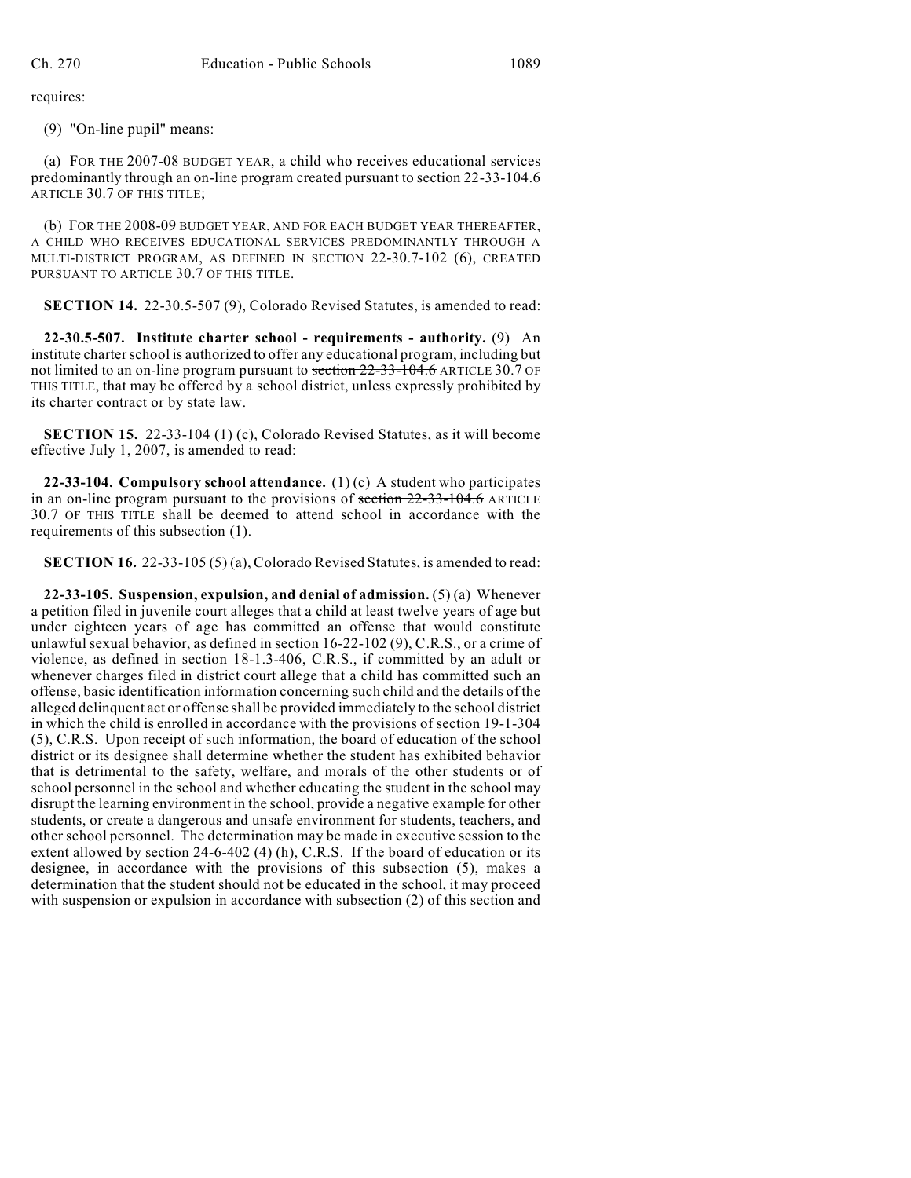requires:

(9) "On-line pupil" means:

(a) FOR THE 2007-08 BUDGET YEAR, a child who receives educational services predominantly through an on-line program created pursuant to section 22-33-104.6 ARTICLE 30.7 OF THIS TITLE;

(b) FOR THE 2008-09 BUDGET YEAR, AND FOR EACH BUDGET YEAR THEREAFTER, A CHILD WHO RECEIVES EDUCATIONAL SERVICES PREDOMINANTLY THROUGH A MULTI-DISTRICT PROGRAM, AS DEFINED IN SECTION 22-30.7-102 (6), CREATED PURSUANT TO ARTICLE 30.7 OF THIS TITLE.

**SECTION 14.** 22-30.5-507 (9), Colorado Revised Statutes, is amended to read:

**22-30.5-507. Institute charter school - requirements - authority.** (9) An institute charter school is authorized to offer any educational program, including but not limited to an on-line program pursuant to section 22-33-104.6 ARTICLE 30.7 OF THIS TITLE, that may be offered by a school district, unless expressly prohibited by its charter contract or by state law.

**SECTION 15.** 22-33-104 (1) (c), Colorado Revised Statutes, as it will become effective July 1, 2007, is amended to read:

**22-33-104. Compulsory school attendance.** (1) (c) A student who participates in an on-line program pursuant to the provisions of section 22-33-104.6 ARTICLE 30.7 OF THIS TITLE shall be deemed to attend school in accordance with the requirements of this subsection (1).

**SECTION 16.** 22-33-105 (5) (a), Colorado Revised Statutes, is amended to read:

**22-33-105. Suspension, expulsion, and denial of admission.** (5) (a) Whenever a petition filed in juvenile court alleges that a child at least twelve years of age but under eighteen years of age has committed an offense that would constitute unlawful sexual behavior, as defined in section 16-22-102 (9), C.R.S., or a crime of violence, as defined in section 18-1.3-406, C.R.S., if committed by an adult or whenever charges filed in district court allege that a child has committed such an offense, basic identification information concerning such child and the details of the alleged delinquent act or offense shall be provided immediately to the school district in which the child is enrolled in accordance with the provisions of section 19-1-304 (5), C.R.S. Upon receipt of such information, the board of education of the school district or its designee shall determine whether the student has exhibited behavior that is detrimental to the safety, welfare, and morals of the other students or of school personnel in the school and whether educating the student in the school may disrupt the learning environment in the school, provide a negative example for other students, or create a dangerous and unsafe environment for students, teachers, and other school personnel. The determination may be made in executive session to the extent allowed by section 24-6-402 (4) (h), C.R.S. If the board of education or its designee, in accordance with the provisions of this subsection (5), makes a determination that the student should not be educated in the school, it may proceed with suspension or expulsion in accordance with subsection (2) of this section and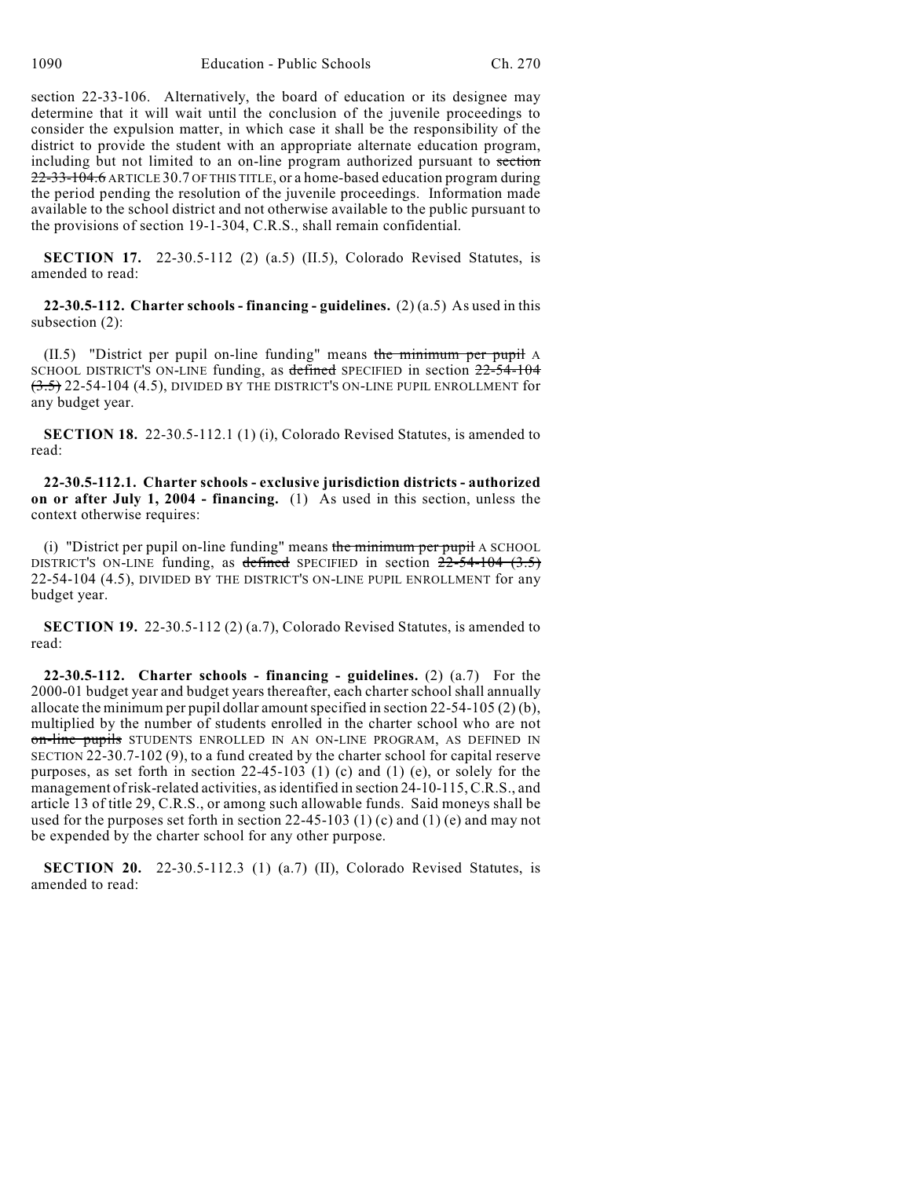section 22-33-106. Alternatively, the board of education or its designee may determine that it will wait until the conclusion of the juvenile proceedings to consider the expulsion matter, in which case it shall be the responsibility of the district to provide the student with an appropriate alternate education program, including but not limited to an on-line program authorized pursuant to section 22-33-104.6 ARTICLE 30.7 OF THIS TITLE, or a home-based education program during the period pending the resolution of the juvenile proceedings. Information made available to the school district and not otherwise available to the public pursuant to the provisions of section 19-1-304, C.R.S., shall remain confidential.

**SECTION 17.** 22-30.5-112 (2) (a.5) (II.5), Colorado Revised Statutes, is amended to read:

**22-30.5-112. Charter schools - financing - guidelines.** (2) (a.5) As used in this subsection (2):

 $(II.5)$  "District per pupil on-line funding" means the minimum per pupil A SCHOOL DISTRICT'S ON-LINE funding, as defined SPECIFIED in section  $22-54-104$  $(3.5)$  22-54-104 (4.5), DIVIDED BY THE DISTRICT'S ON-LINE PUPIL ENROLLMENT for any budget year.

**SECTION 18.** 22-30.5-112.1 (1) (i), Colorado Revised Statutes, is amended to read:

**22-30.5-112.1. Charter schools - exclusive jurisdiction districts - authorized on or after July 1, 2004 - financing.** (1) As used in this section, unless the context otherwise requires:

(i) "District per pupil on-line funding" means the minimum per pupil A SCHOOL DISTRICT'S ON-LINE funding, as defined SPECIFIED in section  $22-54-104$  (3.5) 22-54-104 (4.5), DIVIDED BY THE DISTRICT'S ON-LINE PUPIL ENROLLMENT for any budget year.

**SECTION 19.** 22-30.5-112 (2) (a.7), Colorado Revised Statutes, is amended to read:

**22-30.5-112. Charter schools - financing - guidelines.** (2) (a.7) For the 2000-01 budget year and budget years thereafter, each charter school shall annually allocate the minimum per pupil dollar amount specified in section 22-54-105 (2) (b), multiplied by the number of students enrolled in the charter school who are not on-line pupils STUDENTS ENROLLED IN AN ON-LINE PROGRAM, AS DEFINED IN SECTION 22-30.7-102 (9), to a fund created by the charter school for capital reserve purposes, as set forth in section 22-45-103 (1) (c) and (1) (e), or solely for the management of risk-related activities, as identified in section 24-10-115, C.R.S., and article 13 of title 29, C.R.S., or among such allowable funds. Said moneys shall be used for the purposes set forth in section  $22-45-103$  (1) (c) and (1) (e) and may not be expended by the charter school for any other purpose.

**SECTION 20.** 22-30.5-112.3 (1) (a.7) (II), Colorado Revised Statutes, is amended to read: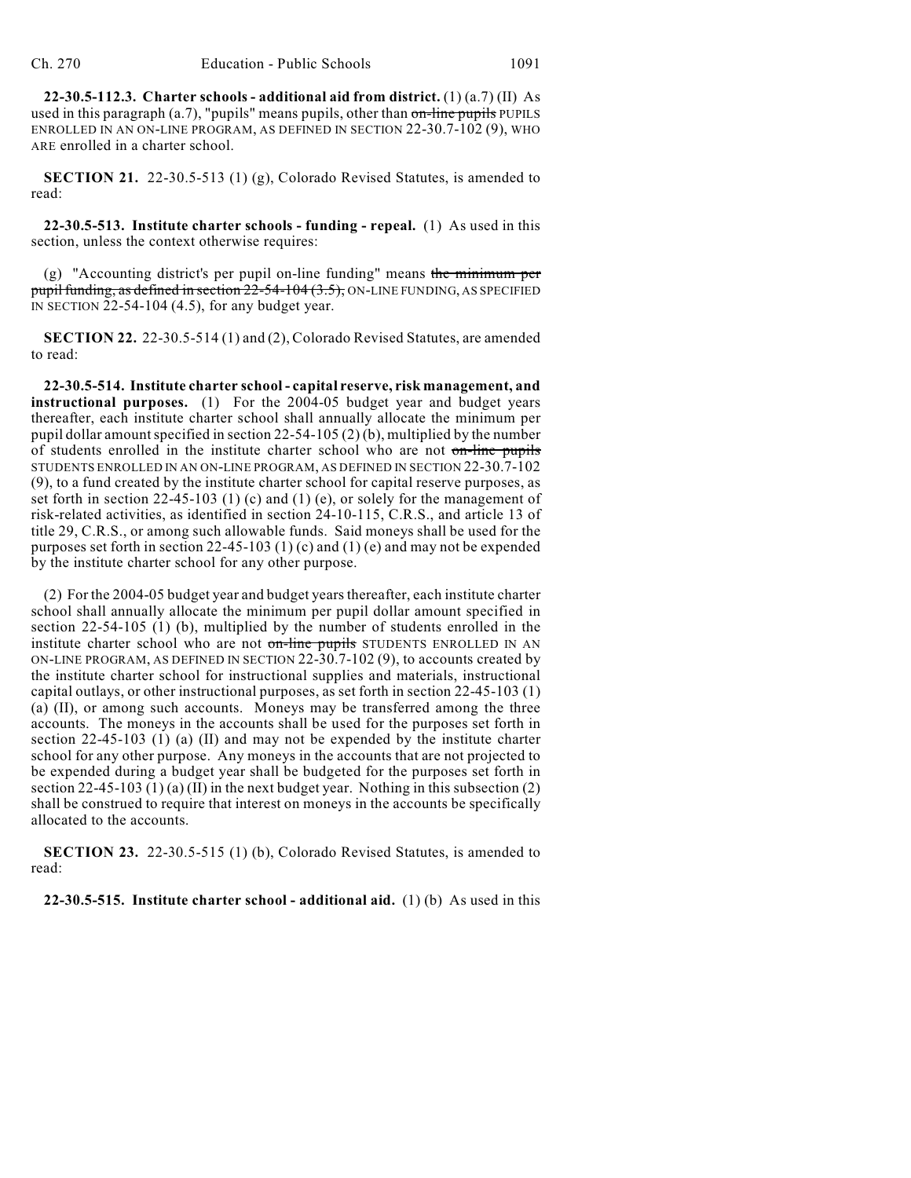**22-30.5-112.3. Charter schools - additional aid from district.** (1) (a.7) (II) As used in this paragraph  $(a.7)$ , "pupils" means pupils, other than on-line pupils PUPILS ENROLLED IN AN ON-LINE PROGRAM, AS DEFINED IN SECTION 22-30.7-102 (9), WHO ARE enrolled in a charter school.

**SECTION 21.** 22-30.5-513 (1) (g), Colorado Revised Statutes, is amended to read:

**22-30.5-513. Institute charter schools - funding - repeal.** (1) As used in this section, unless the context otherwise requires:

(g) "Accounting district's per pupil on-line funding" means the minimum per pupil funding, as defined in section  $22-54-104$   $(3.5)$ , ON-LINE FUNDING, AS SPECIFIED IN SECTION 22-54-104 (4.5), for any budget year.

**SECTION 22.** 22-30.5-514 (1) and (2), Colorado Revised Statutes, are amended to read:

**22-30.5-514. Institute charter school - capital reserve, risk management, and instructional purposes.** (1) For the 2004-05 budget year and budget years thereafter, each institute charter school shall annually allocate the minimum per pupil dollar amount specified in section 22-54-105 (2) (b), multiplied by the number of students enrolled in the institute charter school who are not on-line pupils STUDENTS ENROLLED IN AN ON-LINE PROGRAM, AS DEFINED IN SECTION 22-30.7-102 (9), to a fund created by the institute charter school for capital reserve purposes, as set forth in section 22-45-103 (1) (c) and (1) (e), or solely for the management of risk-related activities, as identified in section 24-10-115, C.R.S., and article 13 of title 29, C.R.S., or among such allowable funds. Said moneys shall be used for the purposes set forth in section 22-45-103 (1) (c) and (1) (e) and may not be expended by the institute charter school for any other purpose.

(2) For the 2004-05 budget year and budget years thereafter, each institute charter school shall annually allocate the minimum per pupil dollar amount specified in section 22-54-105 (1) (b), multiplied by the number of students enrolled in the institute charter school who are not on-line pupils STUDENTS ENROLLED IN AN ON-LINE PROGRAM, AS DEFINED IN SECTION 22-30.7-102 (9), to accounts created by the institute charter school for instructional supplies and materials, instructional capital outlays, or other instructional purposes, as set forth in section 22-45-103 (1) (a) (II), or among such accounts. Moneys may be transferred among the three accounts. The moneys in the accounts shall be used for the purposes set forth in section 22-45-103 (1) (a) (II) and may not be expended by the institute charter school for any other purpose. Any moneys in the accounts that are not projected to be expended during a budget year shall be budgeted for the purposes set forth in section 22-45-103 (1) (a) (II) in the next budget year. Nothing in this subsection (2) shall be construed to require that interest on moneys in the accounts be specifically allocated to the accounts.

**SECTION 23.** 22-30.5-515 (1) (b), Colorado Revised Statutes, is amended to read:

**22-30.5-515. Institute charter school - additional aid.** (1) (b) As used in this